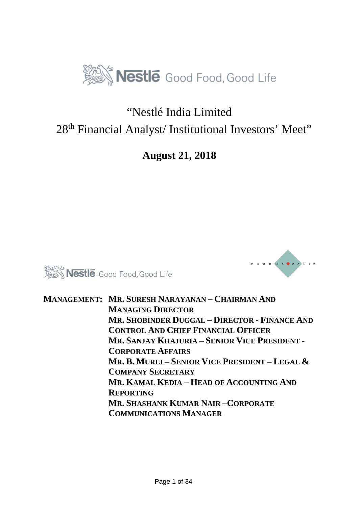

#### "Nestlé India Limited 28<sup>th</sup> Financial Analyst/ Institutional Investors' Meet"

#### **August 21, 2018**





**MANAGEMENT: MR. SURESH NARAYANAN – CHAIRMAN AND MANAGING DIRECTOR MR. SHOBINDER DUGGAL – DIRECTOR - FINANCE AND CONTROL AND CHIEF FINANCIAL OFFICER MR. SANJAY KHAJURIA – SENIOR VICE PRESIDENT - CORPORATE AFFAIRS MR. B. MURLI – SENIOR VICE PRESIDENT – LEGAL & COMPANY SECRETARY MR. KAMAL KEDIA – HEAD OF ACCOUNTING AND REPORTING MR. SHASHANK KUMAR NAIR –CORPORATE COMMUNICATIONS MANAGER**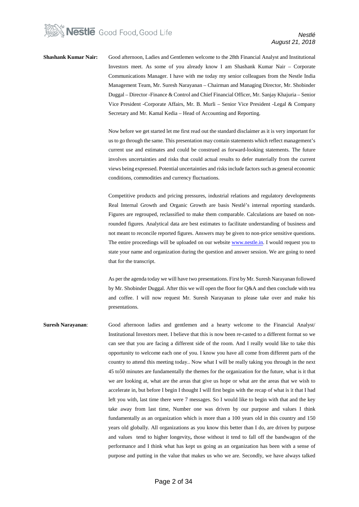

**Shashank Kumar Nair:** Good afternoon, Ladies and Gentlemen welcome to the 28th Financial Analyst and Institutional Investors meet. As some of you already know I am Shashank Kumar Nair – Corporate Communications Manager. I have with me today my senior colleagues from the Nestle India Management Team, Mr. Suresh Narayanan – Chairman and Managing Director, Mr. Shobinder Duggal – Director -Finance & Control and Chief Financial Officer, Mr. Sanjay Khajuria – Senior Vice President -Corporate Affairs, Mr. B. Murli – Senior Vice President -Legal & Company Secretary and Mr. Kamal Kedia – Head of Accounting and Reporting.

> Now before we get started let me first read out the standard disclaimer as it is very important for us to go through the same. This presentation may contain statements which reflect management's current use and estimates and could be construed as forward-looking statements. The future involves uncertainties and risks that could actual results to defer materially from the current views being expressed. Potential uncertainties and risks include factors such as general economic conditions, commodities and currency fluctuations.

> Competitive products and pricing pressures, industrial relations and regulatory developments Real Internal Growth and Organic Growth are basis Nestlé's internal reporting standards. Figures are regrouped, reclassified to make them comparable. Calculations are based on nonrounded figures. Analytical data are best estimates to facilitate understanding of business and not meant to reconcile reported figures. Answers may be given to non-price sensitive questions. The entire proceedings will be uploaded on our website **www.nestle.in**. I would request you to state your name and organization during the question and answer session. We are going to need that for the transcript.

> As per the agenda today we will have two presentations. First by Mr. Suresh Narayanan followed by Mr. Shobinder Duggal. After this we will open the floor for Q&A and then conclude with tea and coffee. I will now request Mr. Suresh Narayanan to please take over and make his presentations.

**Suresh Narayanan**: Good afternoon ladies and gentlemen and a hearty welcome to the Financial Analyst/ Institutional Investors meet. I believe that this is now been re-casted to a different format so we can see that you are facing a different side of the room. And I really would like to take this opportunity to welcome each one of you. I know you have all come from different parts of the country to attend this meeting today.. Now what I will be really taking you through in the next 45 to50 minutes are fundamentally the themes for the organization for the future, what is it that we are looking at, what are the areas that give us hope or what are the areas that we wish to accelerate in, but before I begin I thought I will first begin with the recap of what is it that I had left you with, last time there were 7 messages. So I would like to begin with that and the key take away from last time, Number one was driven by our purpose and values I think fundamentally as an organization which is more than a 100 years old in this country and 150 years old globally. All organizations as you know this better than I do, are driven by purpose and values tend to higher longevity**,** those without it tend to fall off the bandwagon of the performance and I think what has kept us going as an organization has been with a sense of purpose and putting in the value that makes us who we are. Secondly, we have always talked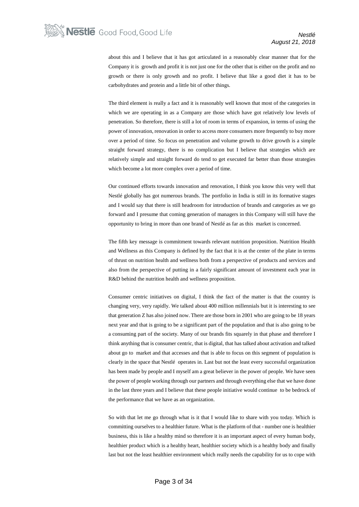about this and I believe that it has got articulated in a reasonably clear manner that for the Company it is growth and profit it is not just one for the other that is either on the profit and no growth or there is only growth and no profit. I believe that like a good diet it has to be carbohydrates and protein and a little bit of other things.

The third element is really a fact and it is reasonably well known that most of the categories in which we are operating in as a Company are those which have got relatively low levels of penetration. So therefore, there is still a lot of room in terms of expansion, in terms of using the power of innovation, renovation in order to access more consumers more frequently to buy more over a period of time. So focus on penetration and volume growth to drive growth is a simple straight forward strategy, there is no complication but I believe that strategies which are relatively simple and straight forward do tend to get executed far better than those strategies which become a lot more complex over a period of time.

Our continued efforts towards innovation and renovation, I think you know this very well that Nestlé globally has got numerous brands. The portfolio in India is still in its formative stages and I would say that there is still headroom for introduction of brands and categories as we go forward and I presume that coming generation of managers in this Company will still have the opportunity to bring in more than one brand of Nestlé as far as this market is concerned.

The fifth key message is commitment towards relevant nutrition proposition. Nutrition Health and Wellness as this Company is defined by the fact that it is at the center of the plate in terms of thrust on nutrition health and wellness both from a perspective of products and services and also from the perspective of putting in a fairly significant amount of investment each year in R&D behind the nutrition health and wellness proposition.

Consumer centric initiatives on digital, I think the fact of the matter is that the country is changing very, very rapidly. We talked about 400 million millennials but it is interesting to see that generation Z has also joined now. There are those born in 2001 who are going to be 18 years next year and that is going to be a significant part of the population and that is also going to be a consuming part of the society. Many of our brands fits squarely in that phase and therefore I think anything that is consumer centric, that is digital, that has talked about activation and talked about go to market and that accesses and that is able to focus on this segment of population is clearly in the space that Nestlé operates in. Last but not the least every successful organization has been made by people and I myself am a great believer in the power of people. We have seen the power of people working through our partners and through everything else that we have done in the last three years and I believe that these people initiative would continue to be bedrock of the performance that we have as an organization.

So with that let me go through what is it that I would like to share with you today. Which is committing ourselves to a healthier future. What is the platform of that - number one is healthier business, this is like a healthy mind so therefore it is an important aspect of every human body, healthier product which is a healthy heart, healthier society which is a healthy body and finally last but not the least healthier environment which really needs the capability for us to cope with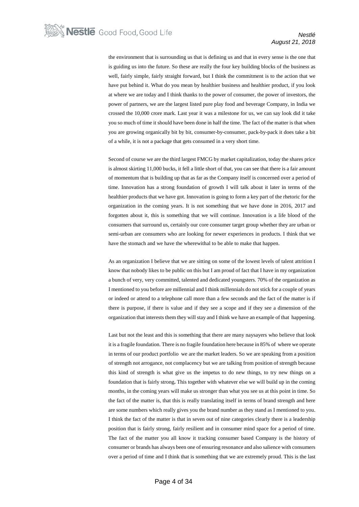the environment that is surrounding us that is defining us and that in every sense is the one that is guiding us into the future. So these are really the four key building blocks of the business as well, fairly simple, fairly straight forward, but I think the commitment is to the action that we have put behind it. What do you mean by healthier business and healthier product, if you look at where we are today and I think thanks to the power of consumer, the power of investors, the power of partners, we are the largest listed pure play food and beverage Company, in India we crossed the 10,000 crore mark. Last year it was a milestone for us, we can say look did it take you so much of time it should have been done in half the time. The fact of the matter is that when you are growing organically bit by bit, consumer-by-consumer, pack-by-pack it does take a bit of a while, it is not a package that gets consumed in a very short time.

Second of course we are the third largest FMCG by market capitalization, today the shares price is almost skirting 11,000 bucks, it fell a little short of that, you can see that there is a fair amount of momentum that is building up that as far as the Company itself is concerned over a period of time. Innovation has a strong foundation of growth I will talk about it later in terms of the healthier products that we have got. Innovation is going to form a key part of the rhetoric for the organization in the coming years. It is not something that we have done in 2016, 2017 and forgotten about it, this is something that we will continue. Innovation is a life blood of the consumers that surround us, certainly our core consumer target group whether they are urban or semi-urban are consumers who are looking for newer experiences in products. I think that we have the stomach and we have the wherewithal to be able to make that happen.

As an organization I believe that we are sitting on some of the lowest levels of talent attrition I know that nobody likes to be public on this but I am proud of fact that I have in my organization a bunch of very, very committed, talented and dedicated youngsters. 70% of the organization as I mentioned to you before are millennial and I think millennials do not stick for a couple of years or indeed or attend to a telephone call more than a few seconds and the fact of the matter is if there is purpose, if there is value and if they see a scope and if they see a dimension of the organization that interests them they will stay and I think we have an example of that happening.

Last but not the least and this is something that there are many naysayers who believe that look it is a fragile foundation. There is no fragile foundation here because in 85% of where we operate in terms of our product portfolio we are the market leaders. So we are speaking from a position of strength not arrogance, not complacency but we are talking from position of strength because this kind of strength is what give us the impetus to do new things, to try new things on a foundation that is fairly strong**.** This together with whatever else we will build up in the coming months, in the coming years will make us stronger than what you see us at this point in time. So the fact of the matter is, that this is really translating itself in terms of brand strength and here are some numbers which really gives you the brand number as they stand as I mentioned to you. I think the fact of the matter is that in seven out of nine categories clearly there is a leadership position that is fairly strong, fairly resilient and in consumer mind space for a period of time. The fact of the matter you all know it tracking consumer based Company is the history of consumer or brands has always been one of ensuring resonance and also salience with consumers over a period of time and I think that is something that we are extremely proud. This is the last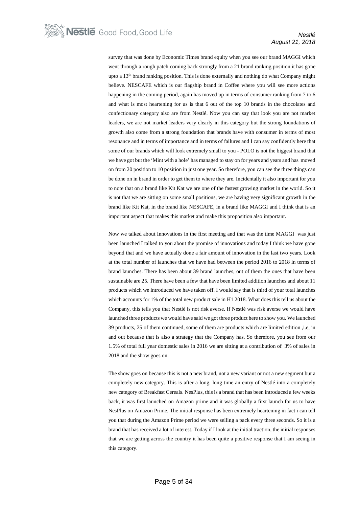survey that was done by Economic Times brand equity when you see our brand MAGGI which went through a rough patch coming back strongly from a 21 brand ranking position it has gone upto a 13th brand ranking position. This is done externally and nothing do what Company might believe. NESCAFE which is our flagship brand in Coffee where you will see more actions happening in the coming period, again has moved up in terms of consumer ranking from 7 to 6 and what is most heartening for us is that 6 out of the top 10 brands in the chocolates and confectionary category also are from Nestlé. Now you can say that look you are not market leaders, we are not market leaders very clearly in this category but the strong foundations of growth also come from a strong foundation that brands have with consumer in terms of most resonance and in terms of importance and in terms of failures and I can say confidently here that some of our brands which will look extremely small to you - POLO is not the biggest brand that we have got but the 'Mint with a hole' has managed to stay on for years and years and has moved on from 20 position to 10 position in just one year. So therefore, you can see the three things can be done on in brand in order to get them to where they are. Incidentally it also important for you to note that on a brand like Kit Kat we are one of the fastest growing market in the world. So it is not that we are sitting on some small positions, we are having very significant growth in the brand like Kit Kat, in the brand like NESCAFE, in a brand like MAGGI and I think that is an important aspect that makes this market and make this proposition also important.

Now we talked about Innovations in the first meeting and that was the time MAGGI was just been launched I talked to you about the promise of innovations and today I think we have gone beyond that and we have actually done a fair amount of innovation in the last two years. Look at the total number of launches that we have had between the period 2016 to 2018 in terms of brand launches. There has been about 39 brand launches, out of them the ones that have been sustainable are 25. There have been a few that have been limited addition launches and about 11 products which we introduced we have taken off. I would say that is third of your total launches which accounts for 1% of the total new product sale in H1 2018. What does this tell us about the Company, this tells you that Nestlé is not risk averse. If Nestlé was risk averse we would have launched three products we would have said we got three product here to show you. We launched 39 products, 25 of them continued, some of them are products which are limited edition ,i.e, in and out because that is also a strategy that the Company has. So therefore, you see from our 1.5% of total full year domestic sales in 2016 we are sitting at a contribution of 3% of sales in 2018 and the show goes on.

The show goes on because this is not a new brand, not a new variant or not a new segment but a completely new category. This is after a long, long time an entry of Nestlé into a completely new category of Breakfast Cereals. NesPlus, this is a brand that has been introduced a few weeks back, it was first launched on Amazon prime and it was globally a first launch for us to have NesPlus on Amazon Prime. The initial response has been extremely heartening in fact i can tell you that during the Amazon Prime period we were selling a pack every three seconds. So it is a brand that has received a lot of interest. Today if I look at the initial traction, the initial responses that we are getting across the country it has been quite a positive response that I am seeing in this category.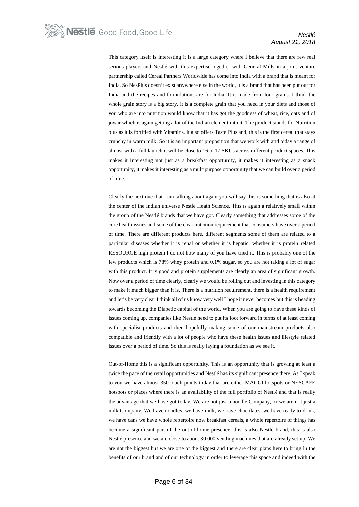This category itself is interesting it is a large category where I believe that there are few real serious players and Nestlé with this expertise together with General Mills in a joint venture partnership called Cereal Partners Worldwide has come into India with a brand that is meant for India. So NesPlus doesn't exist anywhere else in the world, it is a brand that has been put out for India and the recipes and formulations are for India. It is made from four grains. I think the whole grain story is a big story, it is a complete grain that you need in your diets and those of you who are into nutrition would know that it has got the goodness of wheat, rice, oats and of jowar which is again getting a lot of the Indian element into it. The product stands for Nutrition plus as it is fortified with Vitamins. It also offers Taste Plus and, this is the first cereal that stays crunchy in warm milk. So it is an important proposition that we work with and today a range of almost with a full launch it will be close to 16 to 17 SKUs across different product spaces. This makes it interesting not just as a breakfast opportunity, it makes it interesting as a snack opportunity, it makes it interesting as a multipurpose opportunity that we can build over a period of time.

Clearly the next one that I am talking about again you will say this is something that is also at the center of the Indian universe Nestlé Heath Science. This is again a relatively small within the group of the Nestlé brands that we have got. Clearly something that addresses some of the core health issues and some of the clear nutrition requirement that consumers have over a period of time. There are different products here, different segments some of them are related to a particular diseases whether it is renal or whether it is hepatic, whether it is protein related RESOURCE high protein I do not how many of you have tried it. This is probably one of the few products which is 78% whey protein and 0.1% sugar, so you are not taking a lot of sugar with this product. It is good and protein supplements are clearly an area of significant growth. Now over a period of time clearly, clearly we would be rolling out and investing in this category to make it much bigger than it is. There is a nutrition requirement, there is a health requirement and let's be very clear I think all of us know very well I hope it never becomes but this is heading towards becoming the Diabetic capital of the world. When you are going to have these kinds of issues coming up, companies like Nestlé need to put its foot forward in terms of at least coming with specialist products and then hopefully making some of our mainstream products also compatible and friendly with a lot of people who have these health issues and lifestyle related issues over a period of time. So this is really laying a foundation as we see it.

Out-of-Home this is a significant opportunity. This is an opportunity that is growing at least a twice the pace of the retail opportunities and Nestlé has its significant presence there. As I speak to you we have almost 350 touch points today that are either MAGGI hotspots or NESCAFE hotspots or places where there is an availability of the full portfolio of Nestlé and that is really the advantage that we have got today. We are not just a noodle Company, or we are not just a milk Company. We have noodles, we have milk, we have chocolates, we have ready to drink, we have cans we have whole repertoire now breakfast cereals, a whole repertoire of things has become a significant part of the out-of-home presence, this is also Nestlé brand, this is also Nestlé presence and we are close to about 30,000 vending machines that are already set up. We are not the biggest but we are one of the biggest and there are clear plans here to bring in the benefits of our brand and of our technology in order to leverage this space and indeed with the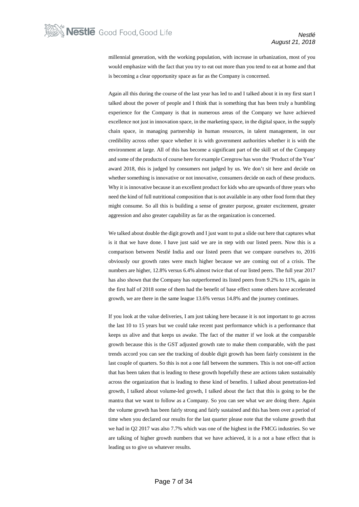millennial generation, with the working population, with increase in urbanization, most of you would emphasize with the fact that you try to eat out more than you tend to eat at home and that is becoming a clear opportunity space as far as the Company is concerned.

Again all this during the course of the last year has led to and I talked about it in my first start I talked about the power of people and I think that is something that has been truly a humbling experience for the Company is that in numerous areas of the Company we have achieved excellence not just in innovation space, in the marketing space, in the digital space, in the supply chain space, in managing partnership in human resources, in talent management, in our credibility across other space whether it is with government authorities whether it is with the environment at large. All of this has become a significant part of the skill set of the Company and some of the products of course here for example Ceregrow has won the 'Product of the Year' award 2018, this is judged by consumers not judged by us. We don't sit here and decide on whether something is innovative or not innovative, consumers decide on each of these products. Why it is innovative because it an excellent product for kids who are upwards of three years who need the kind of full nutritional composition that is not available in any other food form that they might consume. So all this is building a sense of greater purpose, greater excitement, greater aggression and also greater capability as far as the organization is concerned.

We talked about double the digit growth and I just want to put a slide out here that captures what is it that we have done. I have just said we are in step with our listed peers. Now this is a comparison between Nestlé India and our listed peers that we compare ourselves to, 2016 obviously our growth rates were much higher because we are coming out of a crisis. The numbers are higher, 12.8% versus 6.4% almost twice that of our listed peers. The full year 2017 has also shown that the Company has outperformed its listed peers from 9.2% to 11%, again in the first half of 2018 some of them had the benefit of base effect some others have accelerated growth, we are there in the same league 13.6% versus 14.8% and the journey continues.

If you look at the value deliveries, I am just taking here because it is not important to go across the last 10 to 15 years but we could take recent past performance which is a performance that keeps us alive and that keeps us awake. The fact of the matter if we look at the comparable growth because this is the GST adjusted growth rate to make them comparable, with the past trends accord you can see the tracking of double digit growth has been fairly consistent in the last couple of quarters. So this is not a one fall between the summers. This is not one-off action that has been taken that is leading to these growth hopefully these are actions taken sustainably across the organization that is leading to these kind of benefits. I talked about penetration-led growth, I talked about volume-led growth, I talked about the fact that this is going to be the mantra that we want to follow as a Company. So you can see what we are doing there. Again the volume growth has been fairly strong and fairly sustained and this has been over a period of time when you declared our results for the last quarter please note that the volume growth that we had in Q2 2017 was also 7.7% which was one of the highest in the FMCG industries. So we are talking of higher growth numbers that we have achieved, it is a not a base effect that is leading us to give us whatever results.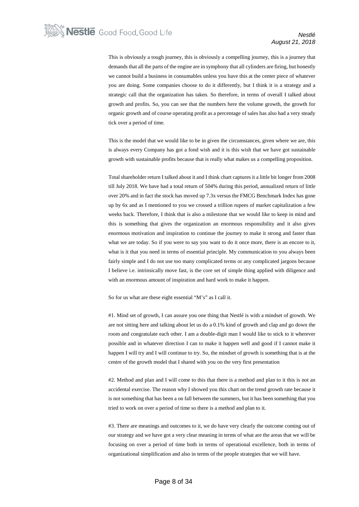This is obviously a tough journey, this is obviously a compelling journey, this is a journey that demands that all the parts of the engine are in symphony that all cylinders are firing, but honestly we cannot build a business in consumables unless you have this at the center piece of whatever you are doing. Some companies choose to do it differently, but I think it is a strategy and a strategic call that the organization has taken. So therefore, in terms of overall I talked about growth and profits. So, you can see that the numbers here the volume growth, the growth for organic growth and of course operating profit as a percentage of sales has also had a very steady tick over a period of time.

This is the model that we would like to be in given the circumstances, given where we are, this is always every Company has got a fond wish and it is this wish that we have got sustainable growth with sustainable profits because that is really what makes us a compelling proposition.

Total shareholder return I talked about it and I think chart captures it a little bit longer from 2008 till July 2018. We have had a total return of 504% during this period, annualized return of little over 20% and in fact the stock has moved up 7.3x versus the FMCG Benchmark Index has gone up by 6x and as I mentioned to you we crossed a trillion rupees of market capitalization a few weeks back. Therefore, I think that is also a milestone that we would like to keep in mind and this is something that gives the organization an enormous responsibility and it also gives enormous motivation and inspiration to continue the journey to make it strong and faster than what we are today. So if you were to say you want to do it once more, there is an encore to it, what is it that you need in terms of essential principle. My communication to you always been fairly simple and I do not use too many complicated terms or any complicated jargons because I believe i.e. intrinsically move fast, is the core set of simple thing applied with diligence and with an enormous amount of inspiration and hard work to make it happen.

So for us what are these eight essential "M's" as I call it.

#1. Mind set of growth, I can assure you one thing that Nestlé is with a mindset of growth. We are not sitting here and talking about let us do a 0.1% kind of growth and clap and go down the room and congratulate each other. I am a double-digit man I would like to stick to it wherever possible and in whatever direction I can to make it happen well and good if I cannot make it happen I will try and I will continue to try. So, the mindset of growth is something that is at the centre of the growth model that I shared with you on the very first presentation

#2. Method and plan and I will come to this that there is a method and plan to it this is not an accidental exercise. The reason why I showed you this chart on the trend growth rate because it is not something that has been a on fall between the summers, but it has been something that you tried to work on over a period of time so there is a method and plan to it.

#3. There are meanings and outcomes to it, we do have very clearly the outcome coming out of our strategy and we have got a very clear meaning in terms of what are the areas that we will be focusing on over a period of time both in terms of operational excellence, both in terms of organizational simplification and also in terms of the people strategies that we will have.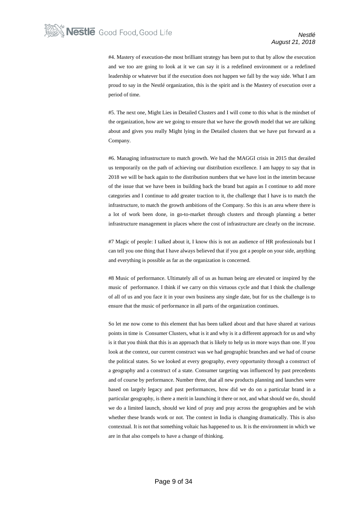#4. Mastery of execution-the most brilliant strategy has been put to that by allow the execution and we too are going to look at it we can say it is a redefined environment or a redefined leadership or whatever but if the execution does not happen we fall by the way side. What I am proud to say in the Nestlé organization, this is the spirit and is the Mastery of execution over a period of time.

#5. The next one, Might Lies in Detailed Clusters and I will come to this what is the mindset of the organization, how are we going to ensure that we have the growth model that we are talking about and gives you really Might lying in the Detailed clusters that we have put forward as a Company.

#6. Managing infrastructure to match growth. We had the MAGGI crisis in 2015 that derailed us temporarily on the path of achieving our distribution excellence. I am happy to say that in 2018 we will be back again to the distribution numbers that we have lost in the interim because of the issue that we have been in building back the brand but again as I continue to add more categories and I continue to add greater traction to it, the challenge that I have is to match the infrastructure, to match the growth ambitions of the Company. So this is an area where there is a lot of work been done, in go-to-market through clusters and through planning a better infrastructure management in places where the cost of infrastructure are clearly on the increase.

#7 Magic of people: I talked about it, I know this is not an audience of HR professionals but I can tell you one thing that I have always believed that if you got a people on your side, anything and everything is possible as far as the organization is concerned.

#8 Music of performance. Ultimately all of us as human being are elevated or inspired by the music of performance. I think if we carry on this virtuous cycle and that I think the challenge of all of us and you face it in your own business any single date, but for us the challenge is to ensure that the music of performance in all parts of the organization continues.

So let me now come to this element that has been talked about and that have shared at various points in time is Consumer Clusters, what is it and why is it a different approach for us and why is it that you think that this is an approach that is likely to help us in more ways than one. If you look at the context, our current construct was we had geographic branches and we had of course the political states. So we looked at every geography, every opportunity through a construct of a geography and a construct of a state. Consumer targeting was influenced by past precedents and of course by performance. Number three, that all new products planning and launches were based on largely legacy and past performances, how did we do on a particular brand in a particular geography, is there a merit in launching it there or not, and what should we do, should we do a limited launch, should we kind of pray and pray across the geographies and be wish whether these brands work or not. The context in India is changing dramatically. This is also contextual. It is not that something voltaic has happened to us. It is the environment in which we are in that also compels to have a change of thinking.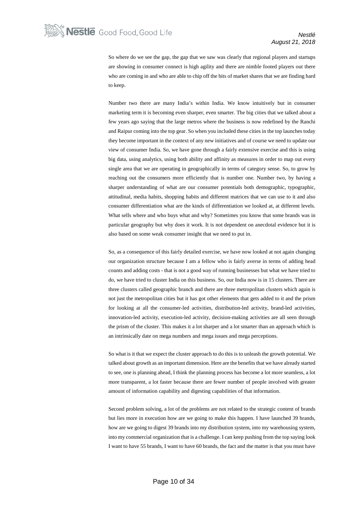So where do we see the gap, the gap that we saw was clearly that regional players and startups are showing in consumer connect is high agility and there are nimble footed players out there who are coming in and who are able to chip off the bits of market shares that we are finding hard to keep.

Number two there are many India's within India. We know intuitively but in consumer marketing term it is becoming even sharper, even smarter. The big cities that we talked about a few years ago saying that the large metros where the business is now redefined by the Ranchi and Raipur coming into the top gear. So when you included these cities in the top launches today they become important in the context of any new initiatives and of course we need to update our view of consumer India. So, we have gone through a fairly extensive exercise and this is using big data, using analytics, using both ability and affinity as measures in order to map out every single area that we are operating in geographically in terms of category sense. So, to grow by reaching out the consumers more efficiently that is number one. Number two, by having a sharper understanding of what are our consumer potentials both demographic, typographic, attitudinal, media habits, shopping habits and different matrices that we can use to it and also consumer differentiation what are the kinds of differentiation we looked at, at different levels. What sells where and who buys what and why? Sometimes you know that some brands was in particular geography but why does it work. It is not dependent on anecdotal evidence but it is also based on some weak consumer insight that we need to put in.

So, as a consequence of this fairly detailed exercise, we have now looked at not again changing our organization structure because I am a fellow who is fairly averse in terms of adding head counts and adding costs - that is not a good way of running businesses but what we have tried to do, we have tried to cluster India on this business. So, our India now is in 15 clusters. There are three clusters called geographic branch and there are three metropolitan clusters which again is not just the metropolitan cities but it has got other elements that gets added to it and the prism for looking at all the consumer-led activities, distribution-led activity, brand-led activities, innovation-led activity, execution-led activity, decision-making activities are all seen through the prism of the cluster. This makes it a lot sharper and a lot smarter than an approach which is an intrinsically date on mega numbers and mega issues and mega perceptions.

So what is it that we expect the cluster approach to do this is to unleash the growth potential. We talked about growth as an important dimension. Here are the benefits that we have already started to see, one is planning ahead, I think the planning process has become a lot more seamless, a lot more transparent, a lot faster because there are fewer number of people involved with greater amount of information capability and digesting capabilities of that information.

Second problem solving, a lot of the problems are not related to the strategic content of brands but lies more in execution how are we going to make this happen. I have launched 39 brands, how are we going to digest 39 brands into my distribution system, into my warehousing system, into my commercial organization that is a challenge. I can keep pushing from the top saying look I want to have 55 brands, I want to have 60 brands, the fact and the matter is that you must have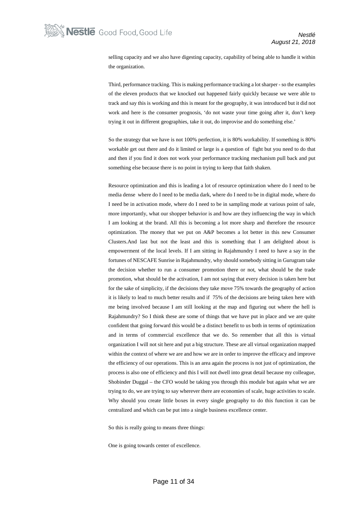selling capacity and we also have digesting capacity, capability of being able to handle it within the organization.

Third, performance tracking. This is making performance tracking a lot sharper - so the examples of the eleven products that we knocked out happened fairly quickly because we were able to track and say this is working and this is meant for the geography, it was introduced but it did not work and here is the consumer prognosis, 'do not waste your time going after it, don't keep trying it out in different geographies, take it out, do improvise and do something else.'

So the strategy that we have is not 100% perfection, it is 80% workability. If something is 80% workable get out there and do it limited or large is a question of fight but you need to do that and then if you find it does not work your performance tracking mechanism pull back and put something else because there is no point in trying to keep that faith shaken.

Resource optimization and this is leading a lot of resource optimization where do I need to be media dense where do I need to be media dark, where do I need to be in digital mode, where do I need be in activation mode, where do I need to be in sampling mode at various point of sale, more importantly, what our shopper behavior is and how are they influencing the way in which I am looking at the brand. All this is becoming a lot more sharp and therefore the resource optimization. The money that we put on A&P becomes a lot better in this new Consumer Clusters.And last but not the least and this is something that I am delighted about is empowerment of the local levels. If I am sitting in Rajahmundry I need to have a say in the fortunes of NESCAFE Sunrise in Rajahmundry, why should somebody sitting in Gurugram take the decision whether to run a consumer promotion there or not, what should be the trade promotion, what should be the activation, I am not saying that every decision is taken here but for the sake of simplicity, if the decisions they take move 75% towards the geography of action it is likely to lead to much better results and if 75% of the decisions are being taken here with me being involved because I am still looking at the map and figuring out where the hell is Rajahmundry? So I think these are some of things that we have put in place and we are quite confident that going forward this would be a distinct benefit to us both in terms of optimization and in terms of commercial excellence that we do. So remember that all this is virtual organization I will not sit here and put a big structure. These are all virtual organization mapped within the context of where we are and how we are in order to improve the efficacy and improve the efficiency of our operations. This is an area again the process is not just of optimization, the process is also one of efficiency and this I will not dwell into great detail because my colleague, Shobinder Duggal – the CFO would be taking you through this module but again what we are trying to do, we are trying to say wherever there are economies of scale, huge activities to scale. Why should you create little boxes in every single geography to do this function it can be centralized and which can be put into a single business excellence center.

So this is really going to means three things:

One is going towards center of excellence.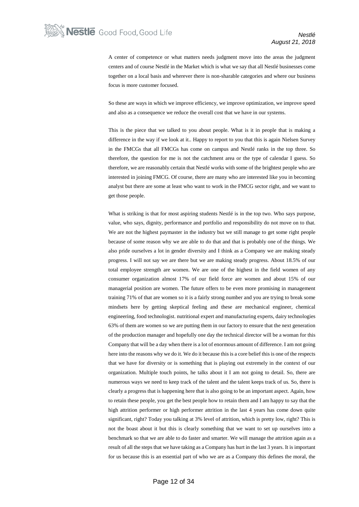A center of competence or what matters needs judgment move into the areas the judgment centers and of course Nestlé in the Market which is what we say that all Nestlé businesses come together on a local basis and wherever there is non-sharable categories and where our business focus is more customer focused.

So these are ways in which we improve efficiency, we improve optimization, we improve speed and also as a consequence we reduce the overall cost that we have in our systems.

This is the piece that we talked to you about people. What is it in people that is making a difference in the way if we look at it.. Happy to report to you that this is again Nielsen Survey in the FMCGs that all FMCGs has come on campus and Nestlé ranks in the top three. So therefore, the question for me is not the catchment area or the type of calendar I guess. So therefore, we are reasonably certain that Nestlé works with some of the brightest people who are interested in joining FMCG. Of course, there are many who are interested like you in becoming analyst but there are some at least who want to work in the FMCG sector right, and we want to get those people.

What is striking is that for most aspiring students Nestlé is in the top two. Who says purpose, value, who says, dignity, performance and portfolio and responsibility do not move on to that. We are not the highest paymaster in the industry but we still manage to get some right people because of some reason why we are able to do that and that is probably one of the things. We also pride ourselves a lot in gender diversity and I think as a Company we are making steady progress. I will not say we are there but we are making steady progress. About 18.5% of our total employee strength are women. We are one of the highest in the field women of any consumer organization almost 17% of our field force are women and about 15% of our managerial position are women. The future offers to be even more promising in management training 71% of that are women so it is a fairly strong number and you are trying to break some mindsets here by getting skeptical feeling and these are mechanical engineer, chemical engineering, food technologist. nutritional expert and manufacturing experts, dairy technologies 63% of them are women so we are putting them in our factory to ensure that the next generation of the production manager and hopefully one day the technical director will be a woman for this Company that will be a day when there is a lot of enormous amount of difference. I am not going here into the reasons why we do it. We do it because this is a core belief this is one of the respects that we have for diversity or is something that is playing out extremely in the context of our organization. Multiple touch points, he talks about it I am not going to detail. So, there are numerous ways we need to keep track of the talent and the talent keeps track of us. So, there is clearly a progress that is happening here that is also going to be an important aspect. Again, how to retain these people, you get the best people how to retain them and I am happy to say that the high attrition performer or high performer attrition in the last 4 years has come down quite significant, right? Today you talking at 3% level of attrition, which is pretty low, right? This is not the boast about it but this is clearly something that we want to set up ourselves into a benchmark so that we are able to do faster and smarter. We will manage the attrition again as a result of all the steps that we have taking as a Company has hurt in the last 3 years. It is important for us because this is an essential part of who we are as a Company this defines the moral, the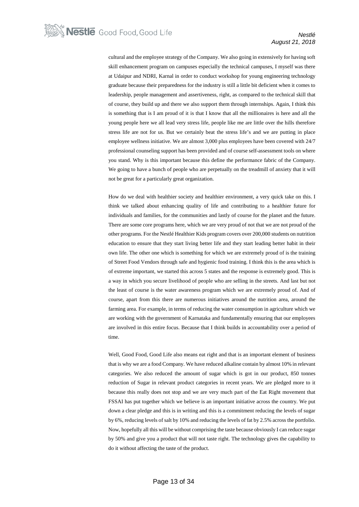cultural and the employee strategy of the Company. We also going in extensively for having soft skill enhancement program on campuses especially the technical campuses, I myself was there at Udaipur and NDRI, Karnal in order to conduct workshop for young engineering technology graduate because their preparedness for the industry is still a little bit deficient when it comes to leadership, people management and assertiveness, right, as compared to the technical skill that of course, they build up and there we also support them through internships. Again, I think this is something that is I am proud of it is that I know that all the millionaires is here and all the young people here we all lead very stress life, people like me are little over the hills therefore stress life are not for us. But we certainly beat the stress life's and we are putting in place employee wellness initiative. We are almost 3,000 plus employees have been covered with 24/7 professional counseling support has been provided and of course self-assessment tools on where you stand. Why is this important because this define the performance fabric of the Company. We going to have a bunch of people who are perpetually on the treadmill of anxiety that it will not be great for a particularly great organization.

How do we deal with healthier society and healthier environment, a very quick take on this. I think we talked about enhancing quality of life and contributing to a healthier future for individuals and families, for the communities and lastly of course for the planet and the future. There are some core programs here, which we are very proud of not that we are not proud of the other programs. For the Nestlé Healthier Kids program covers over 200,000 students on nutrition education to ensure that they start living better life and they start leading better habit in their own life. The other one which is something for which we are extremely proud of is the training of Street Food Vendors through safe and hygienic food training. I think this is the area which is of extreme important, we started this across 5 states and the response is extremely good. This is a way in which you secure livelihood of people who are selling in the streets. And last but not the least of course is the water awareness program which we are extremely proud of. And of course, apart from this there are numerous initiatives around the nutrition area, around the farming area. For example, in terms of reducing the water consumption in agriculture which we are working with the government of Karnataka and fundamentally ensuring that our employees are involved in this entire focus. Because that I think builds in accountability over a period of time.

Well, Good Food, Good Life also means eat right and that is an important element of business that is why we are a food Company. We have reduced alkaline contain by almost 10% in relevant categories. We also reduced the amount of sugar which is got in our product, 850 tonnes reduction of Sugar in relevant product categories in recent years. We are pledged more to it because this really does not stop and we are very much part of the Eat Right movement that FSSAI has put together which we believe is an important initiative across the country. We put down a clear pledge and this is in writing and this is a commitment reducing the levels of sugar by 6%, reducing levels of salt by 10% and reducing the levels of fat by 2.5% across the portfolio. Now, hopefully all this will be without comprising the taste because obviously I can reduce sugar by 50% and give you a product that will not taste right. The technology gives the capability to do it without affecting the taste of the product.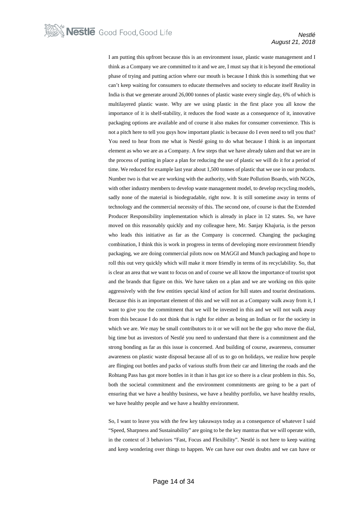I am putting this upfront because this is an environment issue, plastic waste management and I think as a Company we are committed to it and we are, I must say that it is beyond the emotional phase of trying and putting action where our mouth is because I think this is something that we can't keep waiting for consumers to educate themselves and society to educate itself Reality in India is that we generate around 26,000 tonnes of plastic waste every single day, 6% of which is multilayered plastic waste. Why are we using plastic in the first place you all know the importance of it is shelf-stability, it reduces the food waste as a consequence of it, innovative packaging options are available and of course it also makes for consumer convenience. This is not a pitch here to tell you guys how important plastic is because do I even need to tell you that? You need to hear from me what is Nestlé going to do what because I think is an important element as who we are as a Company. A few steps that we have already taken and that we are in the process of putting in place a plan for reducing the use of plastic we will do it for a period of time. We reduced for example last year about 1,500 tonnes of plastic that we use in our products. Number two is that we are working with the authority, with State Pollution Boards, with NGOs, with other industry members to develop waste management model, to develop recycling models, sadly none of the material is biodegradable, right now. It is still sometime away in terms of technology and the commercial necessity of this. The second one, of course is that the Extended Producer Responsibility implementation which is already in place in 12 states. So, we have moved on this reasonably quickly and my colleague here, Mr. Sanjay Khajuria, is the person who leads this initiative as far as the Company is concerned. Changing the packaging combination, I think this is work in progress in terms of developing more environment friendly packaging, we are doing commercial pilots now on MAGGI and Munch packaging and hope to roll this out very quickly which will make it more friendly in terms of its recyclability. So, that is clear an area that we want to focus on and of course we all know the importance of tourist spot and the brands that figure on this. We have taken on a plan and we are working on this quite aggressively with the few entities special kind of action for hill states and tourist destinations. Because this is an important element of this and we will not as a Company walk away from it, I want to give you the commitment that we will be invested in this and we will not walk away from this because I do not think that is right for either as being an Indian or for the society in which we are. We may be small contributors to it or we will not be the guy who move the dial, big time but as investors of Nestlé you need to understand that there is a commitment and the strong bonding as far as this issue is concerned. And building of course, awareness, consumer awareness on plastic waste disposal because all of us to go on holidays, we realize how people are flinging out bottles and packs of various stuffs from their car and littering the roads and the Rohtang Pass has got more bottles in it than it has got ice so there is a clear problem in this. So, both the societal commitment and the environment commitments are going to be a part of ensuring that we have a healthy business, we have a healthy portfolio, we have healthy results, we have healthy people and we have a healthy environment.

So, I want to leave you with the few key takeaways today as a consequence of whatever I said "Speed, Sharpness and Sustainability" are going to be the key mantras that we will operate with, in the context of 3 behaviors "Fast, Focus and Flexibility". Nestlé is not here to keep waiting and keep wondering over things to happen. We can have our own doubts and we can have or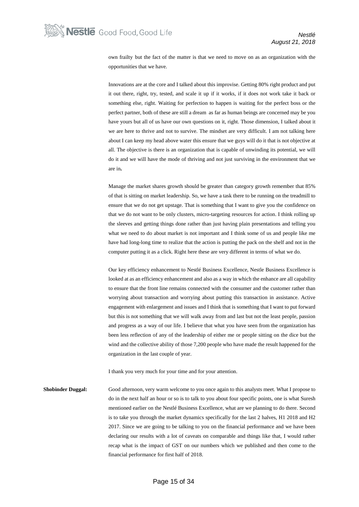own frailty but the fact of the matter is that we need to move on as an organization with the opportunities that we have.

Innovations are at the core and I talked about this improvise. Getting 80% right product and put it out there, right, try, tested, and scale it up if it works, if it does not work take it back or something else, right. Waiting for perfection to happen is waiting for the perfect boss or the perfect partner, both of these are still a dream as far as human beings are concerned may be you have yours but all of us have our own questions on it, right. Those dimension, I talked about it we are here to thrive and not to survive. The mindset are very difficult. I am not talking here about I can keep my head above water this ensure that we guys will do it that is not objective at all. The objective is there is an organization that is capable of unwinding its potential, we will do it and we will have the mode of thriving and not just surviving in the environment that we are in**.**

Manage the market shares growth should be greater than category growth remember that 85% of that is sitting on market leadership. So, we have a task there to be running on the treadmill to ensure that we do not get upstage. That is something that I want to give you the confidence on that we do not want to be only clusters, micro-targeting resources for action. I think rolling up the sleeves and getting things done rather than just having plain presentations and telling you what we need to do about market is not important and I think some of us and people like me have had long-long time to realize that the action is putting the pack on the shelf and not in the computer putting it as a click. Right here these are very different in terms of what we do.

Our key efficiency enhancement to Nestlé Business Excellence, Nestle Business Excellence is looked at as an efficiency enhancement and also as a way in which the enhance are all capability to ensure that the front line remains connected with the consumer and the customer rather than worrying about transaction and worrying about putting this transaction in assistance. Active engagement with enlargement and issues and I think that is something that I want to put forward but this is not something that we will walk away from and last but not the least people, passion and progress as a way of our life. I believe that what you have seen from the organization has been less reflection of any of the leadership of either me or people sitting on the dice but the wind and the collective ability of those 7,200 people who have made the result happened for the organization in the last couple of year.

I thank you very much for your time and for your attention.

**Shobinder Duggal:** Good afternoon, very warm welcome to you once again to this analysts meet. What I propose to do in the next half an hour or so is to talk to you about four specific points, one is what Suresh mentioned earlier on the Nestlé Business Excellence, what are we planning to do there. Second is to take you through the market dynamics specifically for the last 2 halves, H1 2018 and H2 2017. Since we are going to be talking to you on the financial performance and we have been declaring our results with a lot of caveats on comparable and things like that, I would rather recap what is the impact of GST on our numbers which we published and then come to the financial performance for first half of 2018.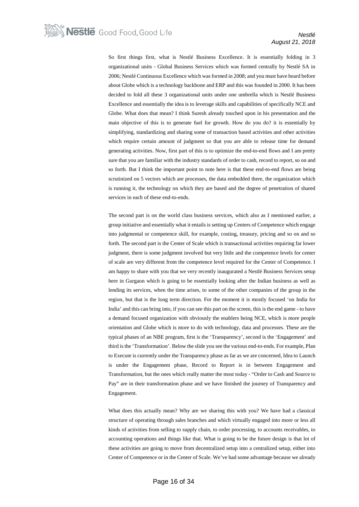So first things first, what is Nestlé Business Excellence. It is essentially folding in 3 organizational units - Global Business Services which was formed centrally by Nestlé SA in 2006; Nestlé Continuous Excellence which was formed in 2008; and you must have heard before about Globe which is a technology backbone and ERP and this was founded in 2000. It has been decided to fold all these 3 organizational units under one umbrella which is Nestlé Business Excellence and essentially the idea is to leverage skills and capabilities of specifically NCE and Globe. What does that mean? I think Suresh already touched upon in his presentation and the main objective of this is to generate fuel for growth. How do you do? it is essentially by simplifying, standardizing and sharing some of transaction based activities and other activities which require certain amount of judgment so that you are able to release time for demand generating activities. Now, first part of this is to optimize the end-to-end flows and I am pretty sure that you are familiar with the industry standards of order to cash, record to report, so on and so forth. But I think the important point to note here is that these end-to-end flows are being scrutinized on 5 vectors which are processes, the data embedded there, the organization which is running it, the technology on which they are based and the degree of penetration of shared services in each of these end-to-ends.

The second part is on the world class business services, which also as I mentioned earlier, a group initiative and essentially what it entails is setting up Centers of Competence which engage into judgmental or competence skill, for example, costing, treasury, pricing and so on and so forth. The second part is the Center of Scale which is transactional activities requiring far lower judgment, there is some judgment involved but very little and the competence levels for center of scale are very different from the competence level required for the Center of Competence. I am happy to share with you that we very recently inaugurated a Nestlé Business Services setup here in Gurgaon which is going to be essentially looking after the Indian business as well as lending its services, when the time arises, to some of the other companies of the group in the region, but that is the long term direction. For the moment it is mostly focused 'on India for India' and this can bring into, if you can see this part on the screen, this is the end game - to have a demand focused organization with obviously the enablers being NCE, which is more people orientation and Globe which is more to do with technology, data and processes. These are the typical phases of an NBE program, first is the 'Transparency', second is the 'Engagement' and third is the 'Transformation'. Below the slide you see the various end-to-ends. For example, Plan to Execute is currently under the Transparency phase as far as we are concerned, Idea to Launch is under the Engagement phase, Record to Report is in between Engagement and Transformation, but the ones which really matter the most today - "Order to Cash and Source to Pay" are in their transformation phase and we have finished the journey of Transparency and Engagement.

What does this actually mean? Why are we sharing this with you? We have had a classical structure of operating through sales branches and which virtually engaged into more or less all kinds of activities from selling to supply chain, to order processing, to accounts receivables, to accounting operations and things like that. What is going to be the future design is that lot of these activities are going to move from decentralized setup into a centralized setup, either into Center of Competence or in the Center of Scale. We've had some advantage because we already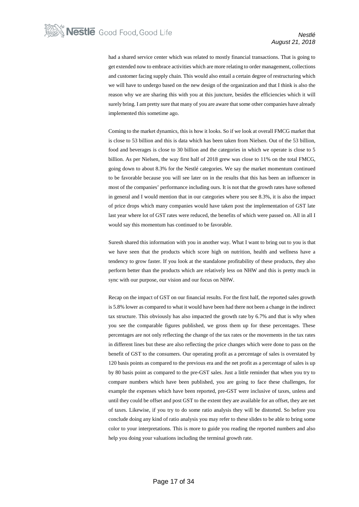had a shared service center which was related to mostly financial transactions. That is going to get extended now to embrace activities which are more relating to order management, collections and customer facing supply chain. This would also entail a certain degree of restructuring which we will have to undergo based on the new design of the organization and that I think is also the reason why we are sharing this with you at this juncture, besides the efficiencies which it will surely bring. I am pretty sure that many of you are aware that some other companies have already implemented this sometime ago.

Coming to the market dynamics, this is how it looks. So if we look at overall FMCG market that is close to 53 billion and this is data which has been taken from Nielsen. Out of the 53 billion, food and beverages is close to 30 billion and the categories in which we operate is close to 5 billion. As per Nielsen, the way first half of 2018 grew was close to 11% on the total FMCG, going down to about 8.3% for the Nestlé categories. We say the market momentum continued to be favorable because you will see later on in the results that this has been an influencer in most of the companies' performance including ours. It is not that the growth rates have softened in general and I would mention that in our categories where you see 8.3%, it is also the impact of price drops which many companies would have taken post the implementation of GST late last year where lot of GST rates were reduced, the benefits of which were passed on. All in all I would say this momentum has continued to be favorable.

Suresh shared this information with you in another way. What I want to bring out to you is that we have seen that the products which score high on nutrition, health and wellness have a tendency to grow faster. If you look at the standalone profitability of these products, they also perform better than the products which are relatively less on NHW and this is pretty much in sync with our purpose, our vision and our focus on NHW.

Recap on the impact of GST on our financial results. For the first half, the reported sales growth is 5.8% lower as compared to what it would have been had there not been a change in the indirect tax structure. This obviously has also impacted the growth rate by 6.7% and that is why when you see the comparable figures published, we gross them up for these percentages. These percentages are not only reflecting the change of the tax rates or the movements in the tax rates in different lines but these are also reflecting the price changes which were done to pass on the benefit of GST to the consumers. Our operating profit as a percentage of sales is overstated by 120 basis points as compared to the previous era and the net profit as a percentage of sales is up by 80 basis point as compared to the pre-GST sales. Just a little reminder that when you try to compare numbers which have been published, you are going to face these challenges, for example the expenses which have been reported, pre-GST were inclusive of taxes, unless and until they could be offset and post GST to the extent they are available for an offset, they are net of taxes. Likewise, if you try to do some ratio analysis they will be distorted. So before you conclude doing any kind of ratio analysis you may refer to these slides to be able to bring some color to your interpretations. This is more to guide you reading the reported numbers and also help you doing your valuations including the terminal growth rate.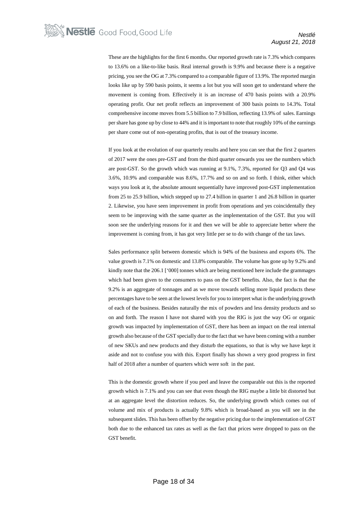These are the highlights for the first 6 months. Our reported growth rate is 7.3% which compares to 13.6% on a like-to-like basis. Real internal growth is 9.9% and because there is a negative pricing, you see the OG at 7.3% compared to a comparable figure of 13.9%. The reported margin looks like up by 590 basis points, it seems a lot but you will soon get to understand where the movement is coming from. Effectively it is an increase of 470 basis points with a 20.9% operating profit. Our net profit reflects an improvement of 300 basis points to 14.3%. Total comprehensive income moves from 5.5 billion to 7.9 billion, reflecting 13.9% of sales. Earnings per share has gone up by close to 44% and it is important to note that roughly 10% of the earnings per share come out of non-operating profits, that is out of the treasury income.

If you look at the evolution of our quarterly results and here you can see that the first 2 quarters of 2017 were the ones pre-GST and from the third quarter onwards you see the numbers which are post-GST. So the growth which was running at 9.1%, 7.3%, reported for Q3 and Q4 was 3.6%, 10.9% and comparable was 8.6%, 17.7% and so on and so forth. I think, either which ways you look at it, the absolute amount sequentially have improved post-GST implementation from 25 to 25.9 billion, which stepped up to 27.4 billion in quarter 1 and 26.8 billion in quarter 2. Likewise, you have seen improvement in profit from operations and yes coincidentally they seem to be improving with the same quarter as the implementation of the GST. But you will soon see the underlying reasons for it and then we will be able to appreciate better where the improvement is coming from, it has got very little per se to do with change of the tax laws.

Sales performance split between domestic which is 94% of the business and exports 6%. The value growth is 7.1% on domestic and 13.8% comparable. The volume has gone up by 9.2% and kindly note that the 206.1 ['000] tonnes which are being mentioned here include the grammages which had been given to the consumers to pass on the GST benefits. Also, the fact is that the 9.2% is an aggregate of tonnages and as we move towards selling more liquid products these percentages have to be seen at the lowest levels for you to interpret what is the underlying growth of each of the business. Besides naturally the mix of powders and less density products and so on and forth. The reason I have not shared with you the RIG is just the way OG or organic growth was impacted by implementation of GST, there has been an impact on the real internal growth also because of the GST specially due to the fact that we have been coming with a number of new SKUs and new products and they disturb the equations, so that is why we have kept it aside and not to confuse you with this. Export finally has shown a very good progress in first half of 2018 after a number of quarters which were soft in the past.

This is the domestic growth where if you peel and leave the comparable out this is the reported growth which is 7.1% and you can see that even though the RIG maybe a little bit distorted but at an aggregate level the distortion reduces. So, the underlying growth which comes out of volume and mix of products is actually 9.8% which is broad-based as you will see in the subsequent slides. This has been offset by the negative pricing due to the implementation of GST both due to the enhanced tax rates as well as the fact that prices were dropped to pass on the GST benefit.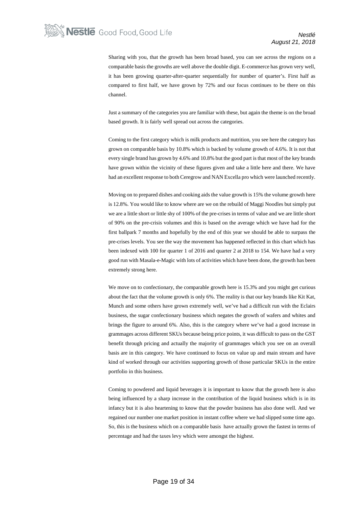Sharing with you, that the growth has been broad based, you can see across the regions on a comparable basis the growths are well above the double digit. E-commerce has grown very well, it has been growing quarter-after-quarter sequentially for number of quarter's. First half as compared to first half, we have grown by 72% and our focus continues to be there on this channel.

Just a summary of the categories you are familiar with these, but again the theme is on the broad based growth. It is fairly well spread out across the categories.

Coming to the first category which is milk products and nutrition, you see here the category has grown on comparable basis by 10.8% which is backed by volume growth of 4.6%. It is not that every single brand has grown by 4.6% and 10.8% but the good part is that most of the key brands have grown within the vicinity of these figures given and take a little here and there. We have had an excellent response to both Ceregrow and NAN Excella pro which were launched recently.

Moving on to prepared dishes and cooking aids the value growth is 15% the volume growth here is 12.8%. You would like to know where are we on the rebuild of Maggi Noodles but simply put we are a little short or little shy of 100% of the pre-crises in terms of value and we are little short of 90% on the pre-crisis volumes and this is based on the average which we have had for the first ballpark 7 months and hopefully by the end of this year we should be able to surpass the pre-crises levels. You see the way the movement has happened reflected in this chart which has been indexed with 100 for quarter 1 of 2016 and quarter 2 at 2018 to 154. We have had a very good run with Masala-e-Magic with lots of activities which have been done, the growth has been extremely strong here.

We move on to confectionary, the comparable growth here is 15.3% and you might get curious about the fact that the volume growth is only 6%. The reality is that our key brands like Kit Kat, Munch and some others have grown extremely well, we've had a difficult run with the Eclairs business, the sugar confectionary business which negates the growth of wafers and whites and brings the figure to around 6%. Also, this is the category where we've had a good increase in grammages across different SKUs because being price points, it was difficult to pass on the GST benefit through pricing and actually the majority of grammages which you see on an overall basis are in this category. We have continued to focus on value up and main stream and have kind of worked through our activities supporting growth of those particular SKUs in the entire portfolio in this business.

Coming to powdered and liquid beverages it is important to know that the growth here is also being influenced by a sharp increase in the contribution of the liquid business which is in its infancy but it is also heartening to know that the powder business has also done well. And we regained our number one market position in instant coffee where we had slipped some time ago. So, this is the business which on a comparable basis have actually grown the fastest in terms of percentage and had the taxes levy which were amongst the highest.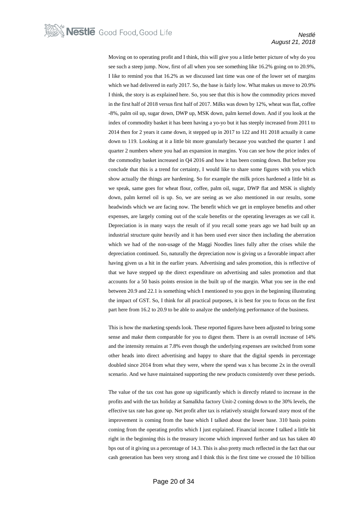Moving on to operating profit and I think, this will give you a little better picture of why do you see such a steep jump. Now, first of all when you see something like 16.2% going on to 20.9%, I like to remind you that 16.2% as we discussed last time was one of the lower set of margins which we had delivered in early 2017. So, the base is fairly low. What makes us move to 20.9% I think, the story is as explained here. So, you see that this is how the commodity prices moved in the first half of 2018 versus first half of 2017. Milks was down by 12%, wheat was flat, coffee -8%, palm oil up, sugar down, DWP up, MSK down, palm kernel down. And if you look at the index of commodity basket it has been having a yo-yo but it has steeply increased from 2011 to 2014 then for 2 years it came down, it stepped up in 2017 to 122 and H1 2018 actually it came down to 119. Looking at it a little bit more granularly because you watched the quarter 1 and quarter 2 numbers where you had an expansion in margins. You can see how the price index of the commodity basket increased in Q4 2016 and how it has been coming down. But before you conclude that this is a trend for certainty, I would like to share some figures with you which show actually the things are hardening. So for example the milk prices hardened a little bit as we speak, same goes for wheat flour, coffee, palm oil, sugar, DWP flat and MSK is slightly down, palm kernel oil is up. So, we are seeing as we also mentioned in our results, some headwinds which we are facing now. The benefit which we get in employee benefits and other expenses, are largely coming out of the scale benefits or the operating leverages as we call it. Depreciation is in many ways the result of if you recall some years ago we had built up an industrial structure quite heavily and it has been used ever since then including the aberration which we had of the non-usage of the Maggi Noodles lines fully after the crises while the depreciation continued. So, naturally the depreciation now is giving us a favorable impact after having given us a hit in the earlier years. Advertising and sales promotion, this is reflective of that we have stepped up the direct expenditure on advertising and sales promotion and that accounts for a 50 basis points erosion in the built up of the margin. What you see in the end between 20.9 and 22.1 is something which I mentioned to you guys in the beginning illustrating the impact of GST. So, I think for all practical purposes, it is best for you to focus on the first part here from 16.2 to 20.9 to be able to analyze the underlying performance of the business.

This is how the marketing spends look. These reported figures have been adjusted to bring some sense and make them comparable for you to digest them. There is an overall increase of 14% and the intensity remains at 7.8% even though the underlying expenses are switched from some other heads into direct advertising and happy to share that the digital spends in percentage doubled since 2014 from what they were, where the spend was x has become 2x in the overall scenario. And we have maintained supporting the new products consistently over these periods.

The value of the tax cost has gone up significantly which is directly related to increase in the profits and with the tax holiday at Samalkha factory Unit-2 coming down to the 30% levels, the effective tax rate has gone up. Net profit after tax is relatively straight forward story most of the improvement is coming from the base which I talked about the lower base. 310 basis points coming from the operating profits which I just explained. Financial income I talked a little bit right in the beginning this is the treasury income which improved further and tax has taken 40 bps out of it giving us a percentage of 14.3. This is also pretty much reflected in the fact that our cash generation has been very strong and I think this is the first time we crossed the 10 billion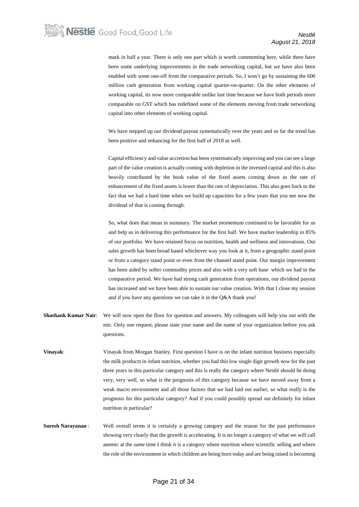mark in half a year. There is only one part which is worth commenting here, while there have been some underlying improvements in the trade networking capital, but we have also been enabled with some one-off from the comparative periods. So, I won't go by sustaining the 600 million cash generation from working capital quarter-on-quarter. On the other elements of working capital, its now more comparable unlike last time because we have both periods more comparable on GST which has redefined some of the elements moving from trade networking capital into other elements of working capital.

We have stepped up our dividend payout systematically over the years and so far the trend has been positive and enhancing for the first half of 2018 as well.

Capital efficiency and value accretion has been systematically improving and you can see a large part of the value creation is actually coming with depletion in the invested capital and this is also heavily contributed by the book value of the fixed assets coming down as the rate of enhancement of the fixed assets is lower than the rate of depreciation. This also goes back to the fact that we had a hard time when we build up capacities for a few years that you see now the dividend of that is coming through.

So, what does that mean in summary. The market momentum continued to be favorable for us and help us in delivering this performance for the first half. We have market leadership in 85% of our portfolio. We have retained focus on nutrition, health and wellness and innovations. Our sales growth has been broad based whichever way you look at it, from a geographic stand point or from a category stand point or even from the channel stand point. Our margin improvement has been aided by softer commodity prices and also with a very soft base which we had in the comparative period. We have had strong cash generation from operations, our dividend payout has increased and we have been able to sustain our value creation. With that I close my session and if you have any questions we can take it in the Q&A thank you!

- **Shashank Kumar Nair**: We will now open the floor for question and answers. My colleagues will help you out with the mic. Only one request, please state your name and the name of your organization before you ask questions.
- **Vinayak**: Vinayak from Morgan Stanley. First question I have is on the infant nutrition business especially the milk products in infant nutrition, whether you had this low single digit growth now for the past three years in this particular category and this is really the category where Nestlé should be doing very, very well, so what is the prognosis of this category because we have moved away from a weak macro environment and all those factors that we had laid out earlier, so what really is the prognosis for this particular category? And if you could possibly spread out definitely for infant nutrition in particular?
- **Suresh Narayanan** : Well overall terms it is certainly a growing category and the reason for the past performance showing very clearly that the growth is accelerating. It is no longer a category of what we will call anemic at the same time I think it is a category where nutrition where scientific selling and where the role of the environment in which children are being born today and are being raised is becoming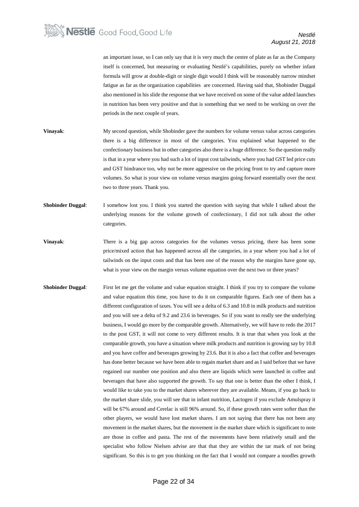an important issue, so I can only say that it is very much the centre of plate as far as the Company itself is concerned, but measuring or evaluating Nestlé's capabilities, purely on whether infant formula will grow at double-digit or single digit would I think will be reasonably narrow mindset fatigue as far as the organization capabilities are concerned. Having said that, Shobinder Duggal also mentioned in his slide the response that we have received on some of the value added launches in nutrition has been very positive and that is something that we need to be working on over the periods in the next couple of years.

- **Vinayak:** My second question, while Shobinder gave the numbers for volume versus value across categories there is a big difference in most of the categories. You explained what happened to the confectionary business but in other categories also there is a huge difference. So the question really is that in a year where you had such a lot of input cost tailwinds, where you had GST led price cuts and GST hindrance too, why not be more aggressive on the pricing front to try and capture more volumes. So what is your view on volume versus margins going forward essentially over the next two to three years. Thank you.
- **Shobinder Duggal**: I somehow lost you. I think you started the question with saying that while I talked about the underlying reasons for the volume growth of confectionary, I did not talk about the other categories.
- **Vinayak:** There is a big gap across categories for the volumes versus pricing, there has been some price/mixed action that has happened across all the categories, in a year where you had a lot of tailwinds on the input costs and that has been one of the reason why the margins have gone up, what is your view on the margin versus volume equation over the next two or three years?
- **Shobinder Duggal:** First let me get the volume and value equation straight. I think if you try to compare the volume and value equation this time, you have to do it on comparable figures. Each one of them has a different configuration of taxes. You will see a delta of 6.3 and 10.8 in milk products and nutrition and you will see a delta of 9.2 and 23.6 in beverages. So if you want to really see the underlying business, I would go more by the comparable growth. Alternatively, we will have to redo the 2017 to the post GST, it will not come to very different results. It is true that when you look at the comparable growth, you have a situation where milk products and nutrition is growing say by 10.8 and you have coffee and beverages growing by 23.6. But it is also a fact that coffee and beverages has done better because we have been able to regain market share and as I said before that we have regained our number one position and also there are liquids which were launched in coffee and beverages that have also supported the growth. To say that one is better than the other I think, I would like to take you to the market shares wherever they are available. Means, if you go back to the market share slide, you will see that in infant nutrition, Lactogen if you exclude Amulspray it will be 67% around and Cerelac is still 96% around. So, if these growth rates were softer than the other players, we would have lost market shares. I am not saying that there has not been any movement in the market shares, but the movement in the market share which is significant to note are those in coffee and pasta. The rest of the movements have been relatively small and the specialist who follow Nielsen advise are that that they are within the tar mark of not being significant. So this is to get you thinking on the fact that I would not compare a noodles growth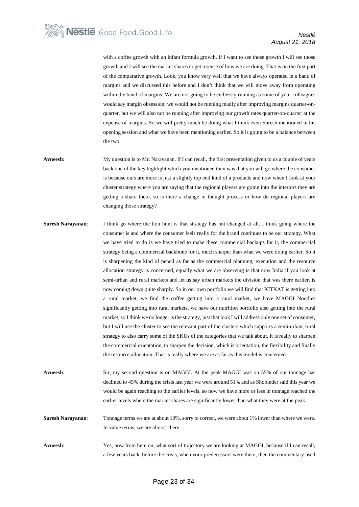with a coffee growth with an infant formula growth. If I want to see those growth I will see those growth and I will see the market shares to get a sense of how we are doing. That is on the first part of the comparative growth. Look, you know very well that we have always operated in a band of margins and we discussed this before and I don't think that we will move away from operating within the band of margins. We are not going to be endlessly running as some of your colleagues would say margin obsession, we would not be running madly after improving margins quarter-onquarter, but we will also not be running after improving our growth rates quarter-on-quarter at the expense of margins. So we will pretty much be doing what I think even Suresh mentioned in his opening session and what we have been mentioning earlier. So it is going to be a balance between the two.

- **Avneesh**: My question is to Mr. Narayanan. If I can recall, the first presentation given to us a couple of years back one of the key highlight which you mentioned then was that you will go where the consumer is because ours are more is just a slightly top end kind of a products and now when I look at your cluster strategy where you are saying that the regional players are going into the interiors they are getting a share there, so is there a change in thought process or how do regional players are changing those strategy?
- **Suresh Narayanan:** I think go where the lion hunt is that strategy has not changed at all. I think going where the consumer is and where the consumer feels really for the brand continues to be our strategy. What we have tried to do is we have tried to make these commercial backups for it, the commercial strategy being a commercial backbone for it, much sharper than what we were doing earlier. So it is sharpening the kind of pencil as far as the commercial planning, execution and the resource allocation strategy is concerned, equally what we are observing is that now India if you look at semi-urban and rural markets and let us say urban markets the division that was there earlier, is now coming down quite sharply. So in our own portfolio we will find that KITKAT is getting into a rural market, we find the coffee getting into a rural market, we have MAGGI Noodles significantly getting into rural markets, we have our nutrition portfolio also getting into the rural market, so I think we no longer is the strategy, just that look I will address only one set of consumer, but I will use the cluster to see the relevant part of the clusters which supports a semi-urban, rural strategy to also carry some of the SKUs of the categories that we talk about. It is really to sharpen the commercial orientation, to sharpen the decision, which is orientation, the flexibility and finally the resource allocation. That is really where we are as far as this model is concerned.
- **Avneesh**: Sir, my second question is on MAGGI. At the peak MAGGI was on 55% of our tonnage has declined to 45% during the crisis last year we were around 51% and as Shobinder said this year we would be again reaching to the earlier levels, so now we have more or less in tonnage reached the earlier levels where the market shares are significantly lower than what they were at the peak.

**Suresh Narayanan**: Tonnage terms we are at about 10%, sorry to correct, we were about 1% lower than where we were. In value terms, we are almost there.

**Avneesh**: Yes, now from here on, what sort of trajectory we are looking at MAGGI, because if I can recall, a few years back, before the crisis, when your predecessors were there, then the commentary used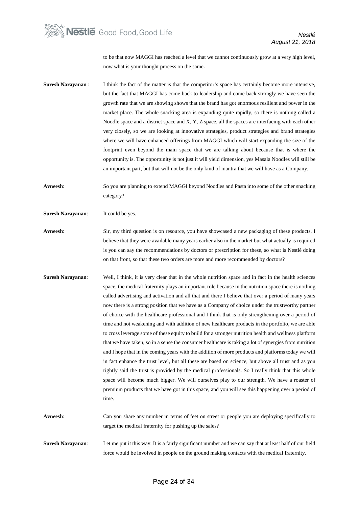

to be that now MAGGI has reached a level that we cannot continuously grow at a very high level, now what is your thought process on the same**.**

- **Suresh Narayanan** : I think the fact of the matter is that the competitor's space has certainly become more intensive, but the fact that MAGGI has come back to leadership and come back strongly we have seen the growth rate that we are showing shows that the brand has got enormous resilient and power in the market place. The whole snacking area is expanding quite rapidly, so there is nothing called a Noodle space and a district space and X, Y, Z space, all the spaces are interfacing with each other very closely, so we are looking at innovative strategies, product strategies and brand strategies where we will have enhanced offerings from MAGGI which will start expanding the size of the footprint even beyond the main space that we are talking about because that is where the opportunity is. The opportunity is not just it will yield dimension, yes Masala Noodles will still be an important part, but that will not be the only kind of mantra that we will have as a Company.
- **Avneesh**: So you are planning to extend MAGGI beyond Noodles and Pasta into some of the other snacking category?

**Suresh Narayanan**: It could be yes.

- **Avneesh**: Sir, my third question is on resource, you have showcased a new packaging of these products, I believe that they were available many years earlier also in the market but what actually is required is you can say the recommendations by doctors or prescription for these, so what is Nestlé doing on that front, so that these two orders are more and more recommended by doctors?
- **Suresh Narayanan**: Well, I think, it is very clear that in the whole nutrition space and in fact in the health sciences space, the medical fraternity plays an important role because in the nutrition space there is nothing called advertising and activation and all that and there I believe that over a period of many years now there is a strong position that we have as a Company of choice under the trustworthy partner of choice with the healthcare professional and I think that is only strengthening over a period of time and not weakening and with addition of new healthcare products in the portfolio, we are able to cross leverage some of these equity to build for a stronger nutrition health and wellness platform that we have taken, so in a sense the consumer healthcare is taking a lot of synergies from nutrition and I hope that in the coming years with the addition of more products and platforms today we will in fact enhance the trust level, but all these are based on science, but above all trust and as you rightly said the trust is provided by the medical professionals. So I really think that this whole space will become much bigger. We will ourselves play to our strength. We have a roaster of premium products that we have got in this space, and you will see this happening over a period of time.
- **Avneesh**: Can you share any number in terms of feet on street or people you are deploying specifically to target the medical fraternity for pushing up the sales?
- **Suresh Narayanan**: Let me put it this way. It is a fairly significant number and we can say that at least half of our field force would be involved in people on the ground making contacts with the medical fraternity.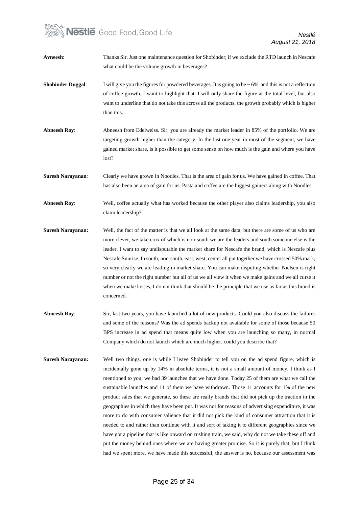## **Nestle** Good Food, Good Life

| Avneesh:                 | Thanks Sir. Just one maintenance question for Shobinder; if we exclude the RTD launch in Nescafe<br>what could be the volume growth in beverages?                                                                                                                                                                                                                                                                                                                                                                                                                                                                                                                                                                                                 |
|--------------------------|---------------------------------------------------------------------------------------------------------------------------------------------------------------------------------------------------------------------------------------------------------------------------------------------------------------------------------------------------------------------------------------------------------------------------------------------------------------------------------------------------------------------------------------------------------------------------------------------------------------------------------------------------------------------------------------------------------------------------------------------------|
| <b>Shobinder Duggal:</b> | I will give you the figures for powdered beverages. It is going to be $\sim 6\%$ and this is not a reflection<br>of coffee growth, I want to highlight that. I will only share the figure at the total level, but also<br>want to underline that do not take this across all the products, the growth probably which is higher<br>than this.                                                                                                                                                                                                                                                                                                                                                                                                      |
| <b>Abneesh Roy:</b>      | Abneesh from Edelweiss. Sir, you are already the market leader in 85% of the portfolio. We are<br>targeting growth higher than the category. In the last one year in most of the segment, we have<br>gained market share, is it possible to get some sense on how much is the gain and where you have<br>lost?                                                                                                                                                                                                                                                                                                                                                                                                                                    |
| <b>Suresh Narayanan:</b> | Clearly we have grown in Noodles. That is the area of gain for us. We have gained in coffee. That<br>has also been an area of gain for us. Pasta and coffee are the biggest gainers along with Noodles.                                                                                                                                                                                                                                                                                                                                                                                                                                                                                                                                           |
| <b>Abneesh Roy:</b>      | Well, coffee actually what has worked because the other player also claims leadership, you also<br>claim leadership?                                                                                                                                                                                                                                                                                                                                                                                                                                                                                                                                                                                                                              |
| <b>Suresh Narayanan:</b> | Well, the fact of the matter is that we all look at the same data, but there are some of us who are<br>more clever, we take crux of which is non-south we are the leaders and south someone else is the<br>leader. I want to say undisputable the market share for Nescafe the brand, which is Nescafe plus<br>Nescafe Sunrise. In south, non-south, east, west, center all put together we have crossed 50% mark,<br>so very clearly we are leading in market share. You can make disputing whether Nielsen is right<br>number or not the right number but all of us we all view it when we make gains and we all curse it<br>when we make losses, I do not think that should be the principle that we use as far as this brand is<br>concerned. |
| <b>Abneesh Roy:</b>      | Sir, last two years, you have launched a lot of new products. Could you also discuss the failures<br>and some of the reasons? Was the ad spends backup not available for some of those because 50<br>BPS increase in ad spend that means quite low when you are launching so many, in normal<br>Company which do not launch which are much higher, could you describe that?                                                                                                                                                                                                                                                                                                                                                                       |
| <b>Suresh Narayanan:</b> | Well two things, one is while I leave Shobinder to tell you on the ad spend figure, which is<br>incidentally gone up by 14% in absolute terms, it is not a small amount of money. I think as I<br>mentioned to you, we had 39 launches that we have done. Today 25 of them are what we call the<br>sustainable launches and 11 of them we have withdrawn. Those 11 accounts for 1% of the new<br>product sales that we generate, so these are really brands that did not pick up the traction in the                                                                                                                                                                                                                                              |

geographies in which they have been put. It was not for reasons of advertising expenditure, it was more to do with consumer salience that it did not pick the kind of consumer attraction that it is needed to and rather than continue with it and sort of taking it to different geographies since we have got a pipeline that is like onward on rushing train, we said, why do not we take these off and put the money behind ones where we are having greater promise. So it is purely that, but I think had we spent more, we have made this successful, the answer is no, because our assessment was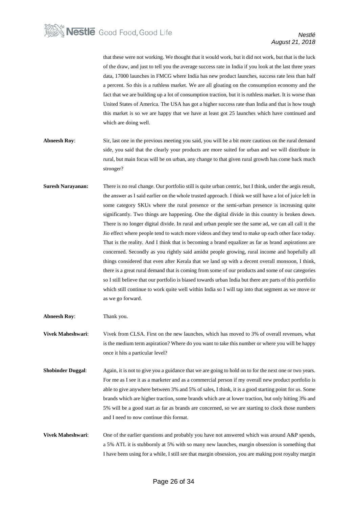that these were not working. We thought that it would work, but it did not work, but that is the luck of the draw, and just to tell you the average success rate in India if you look at the last three years data, 17000 launches in FMCG where India has new product launches, success rate less than half a percent. So this is a ruthless market. We are all gloating on the consumption economy and the fact that we are building up a lot of consumption traction, but it is ruthless market. It is worse than United States of America. The USA has got a higher success rate than India and that is how tough this market is so we are happy that we have at least got 25 launches which have continued and which are doing well.

- **Abneesh Roy:** Sir, last one in the previous meeting you said, you will be a bit more cautious on the rural demand side, you said that the clearly your products are more suited for urban and we will distribute in rural, but main focus will be on urban, any change to that given rural growth has come back much stronger?
- **Suresh Narayanan:** There is no real change. Our portfolio still is quite urban centric, but I think, under the aegis result, the answer as I said earlier on the whole trusted approach. I think we still have a lot of juice left in some category SKUs where the rural presence or the semi-urban presence is increasing quite significantly. Two things are happening. One the digital divide in this country is broken down. There is no longer digital divide. In rural and urban people see the same ad, we can all call it the Jio effect where people tend to watch more videos and they tend to make up each other face today. That is the reality. And I think that is becoming a brand equalizer as far as brand aspirations are concerned. Secondly as you rightly said amidst people growing, rural income and hopefully all things considered that even after Kerala that we land up with a decent overall monsoon, I think, there is a great rural demand that is coming from some of our products and some of our categories so I still believe that our portfolio is biased towards urban India but there are parts of this portfolio which still continue to work quite well within India so I will tap into that segment as we move or as we go forward.

**Abneesh Roy**: Thank you.

**Vivek Maheshwari**: Vivek from CLSA. First on the new launches, which has moved to 3% of overall revenues, what is the medium term aspiration? Where do you want to take this number or where you will be happy once it hits a particular level?

- **Shobinder Duggal**: Again, it is not to give you a guidance that we are going to hold on to for the next one or two years. For me as I see it as a marketer and as a commercial person if my overall new product portfolio is able to give anywhere between 3% and 5% of sales, I think, it is a good starting point for us. Some brands which are higher traction, some brands which are at lower traction, but only hitting 3% and 5% will be a good start as far as brands are concerned, so we are starting to clock those numbers and I need to now continue this format.
- **Vivek Maheshwari**: One of the earlier questions and probably you have not answered which was around A&P spends, a 5% ATL it is stubbornly at 5% with so many new launches, margin obsession is something that I have been using for a while, I still see that margin obsession, you are making post royalty margin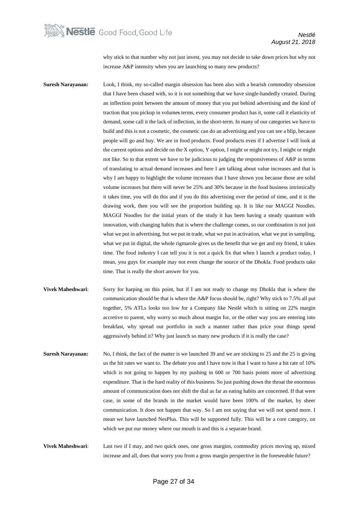

why stick to that number why not just invest, you may not decide to take down prices but why not increase A&P intensity when you are launching so many new products?

**Suresh Narayanan:** Look, I think, my so-called margin obsession has been also with a bearish commodity obsession that I have been chased with, so it is not something that we have single-handedly created. During an inflection point between the amount of money that you put behind advertising and the kind of traction that you pickup in volumes terms, every consumer product has it, some call it elasticity of demand, some call it the lack of inflection, in the short-term. In many of our categories we have to build and this is not a cosmetic, the cosmetic can do an advertising and you can see a blip, because people will go and buy. We are in food products. Food products even if I advertise I will look at the current options and decide on the X option, Y option, I might or might not try, I might or might not like. So to that extent we have to be judicious to judging the responsiveness of A&P in terms of translating to actual demand increases and here I am talking about value increases and that is why I am happy to highlight the volume increases that I have shown you because those are solid volume increases but there will never be 25% and 30% because in the food business intrinsically it takes time, you will do this and if you do this advertising over the period of time, and it is the drawing work, then you will see the proportion building up. It is like our MAGGI Noodles. MAGGI Noodles for the initial years of the study it has been having a steady quantum with innovation, with changing habits that is where the challenge comes, so our combination is not just what we put in advertising, but we put in trade, what we put in activation, what we put in sampling, what we put in digital, the whole rigmarole gives us the benefit that we get and my friend, it takes time. The food industry I can tell you it is not a quick fix that when I launch a product today, I mean, you guys for example may not even change the source of the Dhokla. Food products take time. That is really the short answer for you.

- **Vivek Maheshwari**: Sorry for harping on this point, but if I am not ready to change my Dhokla that is where the communication should be that is where the A&P focus should be, right? Why stick to 7.5% all put together, 5% ATLs looks too low for a Company like Nestlé which is sitting on 22% margin accretive to parent, why worry so much about margin for, or the other way you are entering into breakfast, why spread out portfolio in such a manner rather than price your things spend aggressively behind it? Why just launch so many new products if it is really the case?
- **Suresh Narayanan:** No, I think, the fact of the matter is we launched 39 and we are sticking to 25 and the 25 is giving us the hit rates we want to. The debate you and I have now is that I want to have a hit rate of 10% which is not going to happen by my pushing in 600 or 700 basis points more of advertising expenditure. That is the hard reality of this business. So just pushing down the throat the enormous amount of communication does not shift the dial as far as eating habits are concerned. If that were case, in some of the brands in the market would have been 100% of the market, by sheer communication. It does not happen that way. So I am not saying that we will not spend more. I mean we have launched NesPlus. This will be supported fully. This will be a core category, on which we put our money where our mouth is and this is a separate brand.
- **Vivek Maheshwari**: Last two if I may, and two quick ones, one gross margins, commodity prices moving up, mixed increase and all, does that worry you from a gross margin perspective in the foreseeable future?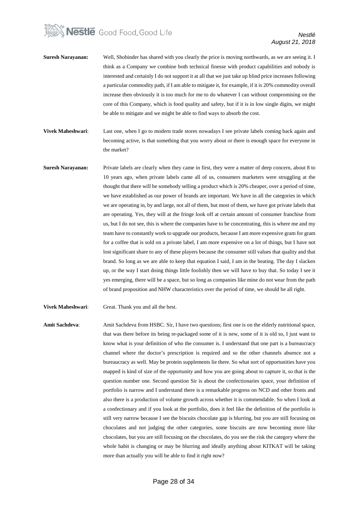# **Nestle** Good Food, Good Life

- **Suresh Narayanan:** Well, Shobinder has shared with you clearly the price is moving northwards, as we are seeing it. I think as a Company we combine both technical finesse with product capabilities and nobody is interested and certainly I do not support it at all that we just take up blind price increases following a particular commodity path, if I am able to mitigate it, for example, if it is 20% commodity overall increase then obviously it is too much for me to do whatever I can without compromising on the core of this Company, which is food quality and safety, but if it is in low single digits, we might be able to mitigate and we might be able to find ways to absorb the cost.
- **Vivek Maheshwari**: Last one, when I go to modern trade stores nowadays I see private labels coming back again and becoming active, is that something that you worry about or there is enough space for everyone in the market?
- **Suresh Narayanan:** Private labels are clearly when they came in first, they were a matter of deep concern, about 8 to 10 years ago, when private labels came all of us, consumers marketers were struggling at the thought that there will be somebody selling a product which is 20% cheaper, over a period of time, we have established as our power of brands are important. We have in all the categories in which we are operating in, by and large, not all of them, but most of them, we have got private labels that are operating. Yes, they will at the fringe look off at certain amount of consumer franchise from us, but I do not see, this is where the companies have to be concentrating, this is where me and my team have to constantly work to upgrade our products, because I am more expensive gram for gram for a coffee that is sold on a private label, I am more expensive on a lot of things, but I have not lost significant share to any of these players because the consumer still values that quality and that brand. So long as we are able to keep that equation I said, I am in the beating. The day I slacken up, or the way I start doing things little foolishly then we will have to buy that. So today I see it yes emerging, there will be a space, but so long as companies like mine do not wear from the path of brand proposition and NHW characteristics over the period of time, we should be all right.

**Vivek Maheshwari**: Great. Thank you and all the best.

**Amit Sachdeva**: Amit Sachdeva from HSBC. Sir, I have two questions; first one is on the elderly nutritional space, that was there before its being re-packaged some of it is new, some of it is old so, I just want to know what is your definition of who the consumer is. I understand that one part is a bureaucracy channel where the doctor's prescription is required and so the other channels absence not a bureaucracy as well. May be protein supplements lie there. So what sort of opportunities have you mapped is kind of size of the opportunity and how you are going about to capture it, so that is the question number one. Second question Sir is about the confectionaries space, your definition of portfolio is narrow and I understand there is a remarkable progress on NCD and other fronts and also there is a production of volume growth across whether it is commendable. So when I look at a confectionary and if you look at the portfolio, does it feel like the definition of the portfolio is still very narrow because I see the biscuits chocolate gap is blurring, but you are still focusing on chocolates and not judging the other categories, some biscuits are now becoming more like chocolates, but you are still focusing on the chocolates, do you see the risk the category where the whole habit is changing or may be blurring and ideally anything about KITKAT will be taking more than actually you will be able to find it right now?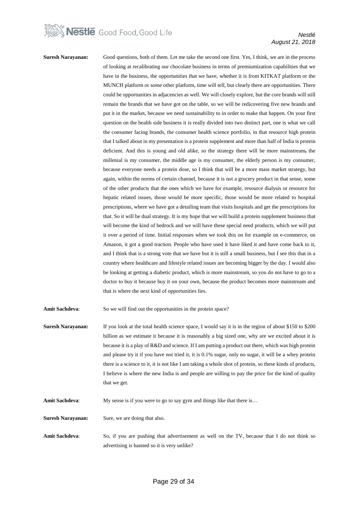

#### **Suresh Narayanan:** Good questions, both of them. Let me take the second one first. Yes, I think, we are in the process of looking at recalibrating our chocolate business in terms of premiumization capabilities that we have in the business, the opportunities that we have, whether it is from KITKAT platform or the MUNCH platform or some other platform, time will tell, but clearly there are opportunities. There could be opportunities in adjacencies as well. We will closely explore, but the core brands will still remain the brands that we have got on the table, so we will be redicovering five new brands and put it in the market, because we need sustainability to in order to make that happen. On your first question on the health side business it is really divided into two distinct part, one is what we call the consumer facing brands, the consumer health science portfolio, in that resource high protein that I talked about in my presentation is a protein supplement and more than half of India is protein deficient. And this is young and old alike, so the strategy there will be more mainstream, the millenial is my consumer, the middle age is my consumer, the elderly person is my consumer, because everyone needs a protein dose, so I think that will be a more mass market strategy, but again, within the norms of certain channel, because it is not a grocery product in that sense, some of the other products that the ones which we have for example, resource dialysis or resource for hepatic related issues, those would be more specific, those would be more related to hospital prescriptions, where we have got a detailing team that visits hospitals and get the prescriptions for that. So it will be dual strategy. It is my hope that we will build a protein supplement business that will become the kind of bedrock and we will have these special need products, which we will put it over a period of time. Initial responses when we took this on for example on e-commerce, on Amazon, it got a good traction. People who have used it have liked it and have come back to it, and I think that is a strong vote that we have but it is still a small business, but I see this that in a country where healthcare and lifestyle related issues are becoming bigger by the day. I would also be looking at getting a diabetic product, which is more mainstream, so you do not have to go to a doctor to buy it because buy it on your own, because the product becomes more mainstream and that is where the next kind of opportunities lies. Amit Sachdeva: So we will find out the opportunities in the protein space?

- **Suresh Narayanan:** If you look at the total health science space, I would say it is in the region of about \$150 to \$200 billion as we estimate it because it is reasonably a big sized one, why are we excited about it is because it is a play of R&D and science. If I am putting a product out there, which was high protein and please try it if you have not tried it, it is 0.1% sugar, only no sugar, it will be a whey protein there is a science to it, it is not like I am taking a whole shot of protein, so these kinds of products, I believe is where the new India is and people are willing to pay the price for the kind of quality that we get.
- **Amit Sachdeva:** My sense is if you were to go to say gym and things like that there is...
- **Suresh Narayanan:** Sure, we are doing that also.
- **Amit Sachdeva**: So, if you are pushing that advertisement as well on the TV, because that I do not think so advertising is banned so it is very unlike?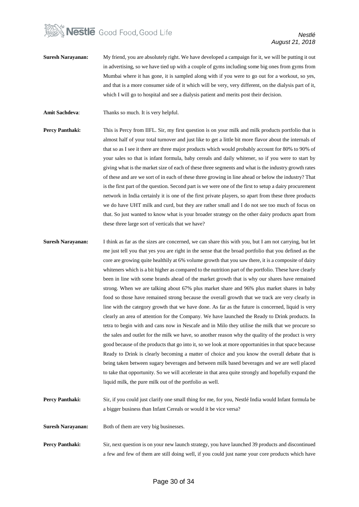

- **Suresh Narayanan:** My friend, you are absolutely right. We have developed a campaign for it, we will be putting it out in advertising, so we have tied up with a couple of gyms including some big ones from gyms from Mumbai where it has gone, it is sampled along with if you were to go out for a workout, so yes, and that is a more consumer side of it which will be very, very different, on the dialysis part of it, which I will go to hospital and see a dialysis patient and merits post their decision.
- **Amit Sachdeva**: Thanks so much. It is very helpful.
- **Percy Panthaki:** This is Percy from IIFL. Sir, my first question is on your milk and milk products portfolio that is almost half of your total turnover and just like to get a little bit more flavor about the internals of that so as I see it there are three major products which would probably account for 80% to 90% of your sales so that is infant formula, baby cereals and daily whitener, so if you were to start by giving what is the market size of each of these three segments and what is the industry growth rates of these and are we sort of in each of these three growing in line ahead or below the industry? That is the first part of the question. Second part is we were one of the first to setup a dairy procurement network in India certainly it is one of the first private players, so apart from these three products we do have UHT milk and curd, but they are rather small and I do not see too much of focus on that. So just wanted to know what is your broader strategy on the other dairy products apart from these three large sort of verticals that we have?
- **Suresh Narayanan:** I think as far as the sizes are concerned, we can share this with you, but I am not carrying, but let me just tell you that yes you are right in the sense that the broad portfolio that you defined as the core are growing quite healthily at 6% volume growth that you saw there, it is a composite of dairy whiteners which is a bit higher as compared to the nutrition part of the portfolio. These have clearly been in line with some brands ahead of the market growth that is why our shares have remained strong. When we are talking about 67% plus market share and 96% plus market shares in baby food so those have remained strong because the overall growth that we track are very clearly in line with the category growth that we have done. As far as the future is concerned, liquid is very clearly an area of attention for the Company. We have launched the Ready to Drink products. In tetra to begin with and cans now in Nescafe and in Milo they utilise the milk that we procure so the sales and outlet for the milk we have, so another reason why the quality of the product is very good because of the products that go into it, so we look at more opportunities in that space because Ready to Drink is clearly becoming a matter of choice and you know the overall debate that is being taken between sugary beverages and between milk based beverages and we are well placed to take that opportunity. So we will accelerate in that area quite strongly and hopefully expand the liquid milk, the pure milk out of the portfolio as well.
- **Percy Panthaki:** Sir, if you could just clarify one small thing for me, for you, Nestlé India would Infant formula be a bigger business than Infant Cereals or would it be vice versa?
- **Suresh Narayanan:** Both of them are very big businesses.
- **Percy Panthaki:** Sir, next question is on your new launch strategy, you have launched 39 products and discontinued a few and few of them are still doing well, if you could just name your core products which have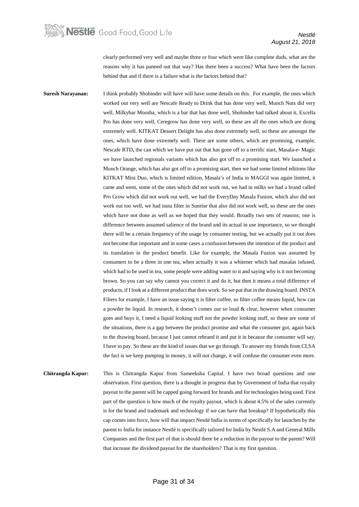clearly performed very well and maybe three or four which were like complete duds, what are the reasons why it has panned out that way? Has there been a success? What have been the factors behind that and if there is a failure what is the factors behind that?

**Suresh Narayanan:** I think probably Shobinder will have will have some details on this. For example, the ones which worked out very well are Nescafe Ready to Drink that has done very well, Munch Nuts did very well, Milkybar Moosha, which is a bar that has done well, Shobinder had talked about it, Excella Pro has done very well, Ceregrow has done very well, so these are all the ones which are doing extremely well. KITKAT Dessert Delight has also done extremely well, so these are amongst the ones, which have done extremely well. There are some others, which are promising, example, Nescafe RTD**,** the can which we have put out that has gone off to a terrific start, Masala-e- Magic we have launched regionals variants which has also got off to a promising start. We launched a Munch Orange, which has also got off to a promising start, then we had some limited editions like KITKAT Mini Duo, which is limited edition, Masala's of India in MAGGI was again limited, it came and went, some of the ones which did not work out, we had in milks we had a brand called Pro Grow which did not work out well, we had the EveryDay Masala Fusion, which also did not work out too well, we had insta filter in Sunrise that also did not work well, so these are the ones which have not done as well as we hoped that they would. Broadly two sets of reasons; one is difference between assumed salience of the brand and its actual in use importance, so we thought there will be a certain frequency of the usage by consumer testing, but we actually put it out does not become that important and in some cases a confusion between the intention of the product and its translation in the product benefit. Like for example, the Masala Fusion was assumed by consumers to be a three in one tea, when actually it was a whitener which had masalas infused, which had to be used in tea, some people were adding water to it and saying why is it not becoming brown. So you can say why cannot you correct it and do it, but then it means a total difference of products, if I look at a different product that does work. So we put that in the drawing board. INSTA Filters for example, I have an issue saying it is filter coffee, so filter coffee means liquid, how can a powder be liquid. In research, it doesn't comes out so loud & clear, however when consumer goes and buys it, I need a liquid looking stuff not the powder looking stuff, so these are some of the situations, there is a gap between the product promise and what the consumer got, again back to the drawing board, because I just cannot rebrand it and put it in because the consumer will say, I have to pay. So these are the kind of issues that we go through. To answer my friends from CLSA the fact is we keep pumping in money, it will not change, it will confuse the consumer even more.

**Chitrangda Kapur:** This is Chitrangda Kapur from Sameeksha Capital. I have two broad questions and one observation. First question, there is a thought in progress that by Government of India that royalty payout to the parent will be capped going forward for brands and for technologies being used. First part of the question is how much of the royalty payout, which is about 4.5% of the sales currently is for the brand and trademark and technology if we can have that breakup? If hypothetically this cap comes into force, how will that impact Nestlé India in terms of specifically for launches by the parent to India for instance Nestlé is specifically tailored for India by Nestlé S.A and General Mills Companies and the first part of that is should there be a reduction in the payout to the parent? Will that increase the dividend payout for the shareholders? That is my first question.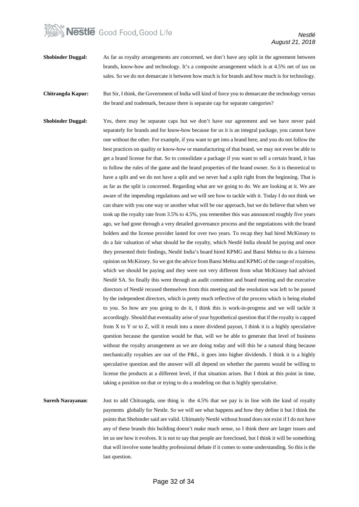### **Nestle** Good Food, Good Life

*Nestlé August 21, 2018*

- **Shobinder Duggal:** As far as royalty arrangements are concerned, we don't have any split in the agreement between brands, know-how and technology. It's a composite arrangement which is at 4.5% net of tax on sales. So we do not demarcate it between how much is for brands and how much is for technology.
- **Chitrangda Kapur:** But Sir, I think, the Government of India will kind of force you to demarcate the technology versus the brand and trademark, because there is separate cap for separate categories?
- **Shobinder Duggal:** Yes, there may be separate caps but we don't have our agreement and we have never paid separately for brands and for know-how because for us it is an integral package, you cannot have one without the other. For example, if you want to get into a brand here, and you do not follow the best practices on quality or know-how or manufacturing of that brand, we may not even be able to get a brand license for that. So to consolidate a package if you want to sell a certain brand, it has to follow the rules of the game and the brand properties of the brand owner. So it is theoretical to have a split and we do not have a split and we never had a split right from the beginning. That is as far as the split is concerned. Regarding what are we going to do. We are looking at it. We are aware of the impending regulations and we will see how to tackle with it. Today I do not think we can share with you one way or another what will be our approach, but we do believe that when we took up the royalty rate from 3.5% to 4.5%, you remember this was announced roughly five years ago, we had gone through a very detailed governance process and the negotiations with the brand holders and the license provider lasted for over two years. To recap they had hired McKinsey to do a fair valuation of what should be the royalty, which Nestlé India should be paying and once they presented their findings, Nestlé India's board hired KPMG and Bansi Mehta to do a fairness opinion on McKinsey. So we got the advice from Bansi Mehta and KPMG of the range of royalties, which we should be paying and they were not very different from what McKinsey had advised Nestlé SA. So finally this went through an audit committee and board meeting and the executive directors of Nestlé recused themselves from this meeting and the resolution was left to be passed by the independent directors, which is pretty much reflective of the process which is being eluded to you. So how are you going to do it, I think this is work-in-progress and we will tackle it accordingly. Should that eventuality arise of your hypothetical question that if the royalty is capped from X to Y or to Z, will it result into a more dividend payout, I think it is a highly speculative question because the question would be that, will we be able to generate that level of business without the royalty arrangement as we are doing today and will this be a natural thing because mechanically royalties are out of the P&L, it goes into higher dividends. I think it is a highly speculative question and the answer will all depend on whether the parents would be willing to license the products at a different level, if that situation arises. But I think at this point in time, taking a position on that or trying to do a modeling on that is highly speculative.
- **Suresh Narayanan**: Just to add Chitrangda, one thing is the 4.5% that we pay is in line with the kind of royalty payments globally for Nestle. So we will see what happens and how they define it but I think the points that Shobinder said are valid. Ultimately Nestlé without brand does not exist if I do not have any of these brands this building doesn't make much sense, so I think there are larger issues and let us see how it evolves. It is not to say that people are foreclosed, but I think it will be something that will involve some healthy professional debate if it comes to some understanding. So this is the last question.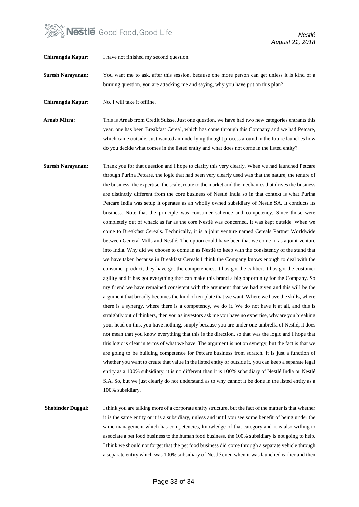

**Chitrangda Kapur:** I have not finished my second question.

**Suresh Narayanan:** You want me to ask, after this session, because one more person can get unless it is kind of a burning question, you are attacking me and saying, why you have put on this plan?

**Chitrangda Kapur:** No. I will take it offline.

**Arnab Mitra:** This is Arnab from Credit Suisse. Just one question, we have had two new categories entrants this year, one has been Breakfast Cereal, which has come through this Company and we had Petcare, which came outside. Just wanted an underlying thought process around in the future launches how do you decide what comes in the listed entity and what does not come in the listed entity?

**Suresh Narayanan:** Thank you for that question and I hope to clarify this very clearly. When we had launched Petcare through Purina Petcare, the logic that had been very clearly used was that the nature, the tenure of the business, the expertise, the scale, route to the market and the mechanics that drives the business are distinctly different from the core business of Nestlé India so in that context is what Purina Petcare India was setup it operates as an wholly owned subsidiary of Nestlé SA. It conducts its business. Note that the principle was consumer salience and competency. Since those were completely out of whack as far as the core Nestlé was concerned, it was kept outside. When we come to Breakfast Cereals. Technically, it is a joint venture named Cereals Partner Worldwide between General Mills and Nestlé. The option could have been that we come in as a joint venture into India. Why did we choose to come in as Nestlé to keep with the consistency of the stand that we have taken because in Breakfast Cereals I think the Company knows enough to deal with the consumer product, they have got the competencies, it has got the caliber, it has got the customer agility and it has got everything that can make this brand a big opportunity for the Company. So my friend we have remained consistent with the argument that we had given and this will be the argument that broadly becomes the kind of template that we want. Where we have the skills, where there is a synergy, where there is a competency, we do it. We do not have it at all, and this is straightly out of thinkers, then you as investors ask me you have no expertise, why are you breaking your head on this, you have nothing, simply because you are under one umbrella of Nestlé, it does not mean that you know everything that this is the direction, so that was the logic and I hope that this logic is clear in terms of what we have. The argument is not on synergy, but the fact is that we are going to be building competence for Petcare business from scratch. It is just a function of whether you want to create that value in the listed entity or outside it, you can keep a separate legal entity as a 100% subsidiary, it is no different than it is 100% subsidiary of Nestlé India or Nestlé S.A. So, but we just clearly do not understand as to why cannot it be done in the listed entity as a 100% subsidiary.

**Shobinder Duggal:** I think you are talking more of a corporate entity structure, but the fact of the matter is that whether it is the same entity or it is a subsidiary, unless and until you see some benefit of being under the same management which has competencies, knowledge of that category and it is also willing to associate a pet food business to the human food business, the 100% subsidiary is not going to help. I think we should not forget that the pet food business did come through a separate vehicle through a separate entity which was 100% subsidiary of Nestlé even when it was launched earlier and then